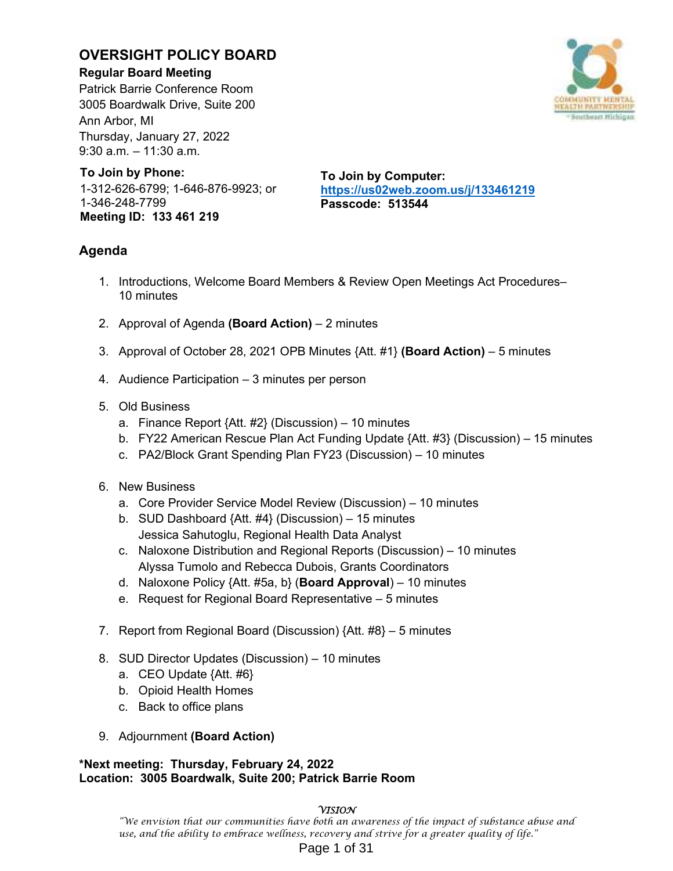## **OVERSIGHT POLICY BOARD**

## **Regular Board Meeting**

Patrick Barrie Conference Room 3005 Boardwalk Drive, Suite 200 Ann Arbor, MI Thursday, January 27, 2022 9:30 a.m. – 11:30 a.m.



# **To Join by Phone:**

1-312-626-6799; 1-646-876-9923; or 1-346-248-7799 **Meeting ID: 133 461 219** 

**To Join by Computer: https://us02web.zoom.us/j/133461219 Passcode: 513544** 

## **Agenda**

- 1. Introductions, Welcome Board Members & Review Open Meetings Act Procedures– 10 minutes
- 2. Approval of Agenda **(Board Action)** 2 minutes
- 3. Approval of October 28, 2021 OPB Minutes {Att. #1} **(Board Action)** 5 minutes
- 4. Audience Participation 3 minutes per person
- 5. Old Business
	- a. Finance Report {Att. #2} (Discussion) 10 minutes
	- b. FY22 American Rescue Plan Act Funding Update {Att. #3} (Discussion) 15 minutes
	- c. PA2/Block Grant Spending Plan FY23 (Discussion) 10 minutes
- 6. New Business
	- a. Core Provider Service Model Review (Discussion) 10 minutes
	- b. SUD Dashboard {Att. #4} (Discussion) 15 minutes Jessica Sahutoglu, Regional Health Data Analyst
	- c. Naloxone Distribution and Regional Reports (Discussion) 10 minutes Alyssa Tumolo and Rebecca Dubois, Grants Coordinators
	- d. Naloxone Policy {Att. #5a, b} (**Board Approval**) 10 minutes
	- e. Request for Regional Board Representative 5 minutes
- 7. Report from Regional Board (Discussion) {Att. #8} 5 minutes
- 8. SUD Director Updates (Discussion) 10 minutes
	- a. CEO Update {Att. #6}
	- b. Opioid Health Homes
	- c. Back to office plans

## 9. Adjournment **(Board Action)**

## **\*Next meeting: Thursday, February 24, 2022 Location: 3005 Boardwalk, Suite 200; Patrick Barrie Room**

### **VISION**

"We envision that our communities have both an awareness of the impact of substance abuse and use, and the ability to embrace wellness, recovery and strive for a greater quality of life."

## Page 1 of 31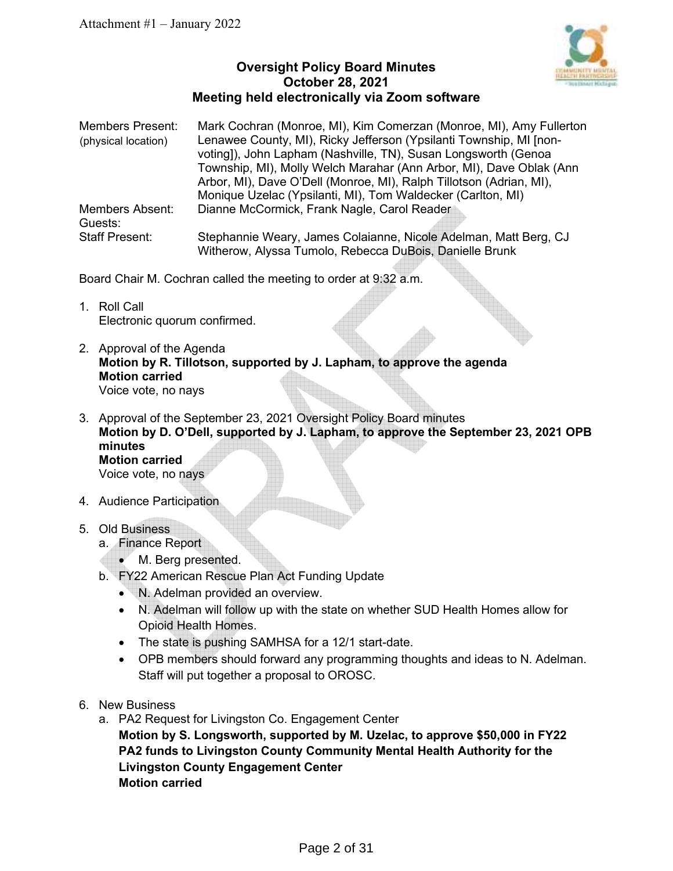

## **Oversight Policy Board Minutes October 28, 2021 Meeting held electronically via Zoom software**

| <b>Members Present:</b> | Mark Cochran (Monroe, MI), Kim Comerzan (Monroe, MI), Amy Fullerton |
|-------------------------|---------------------------------------------------------------------|
| (physical location)     | Lenawee County, MI), Ricky Jefferson (Ypsilanti Township, MI [non-  |
|                         | voting]), John Lapham (Nashville, TN), Susan Longsworth (Genoa      |
|                         | Township, MI), Molly Welch Marahar (Ann Arbor, MI), Dave Oblak (Ann |
|                         | Arbor, MI), Dave O'Dell (Monroe, MI), Ralph Tillotson (Adrian, MI), |
|                         | Monique Uzelac (Ypsilanti, MI), Tom Waldecker (Carlton, MI)         |
| <b>Members Absent:</b>  | Dianne McCormick, Frank Nagle, Carol Reader                         |
| Guests:                 |                                                                     |
| <b>Staff Present:</b>   | Stephannie Weary, James Colaianne, Nicole Adelman, Matt Berg, CJ    |
|                         | Witherow, Alyssa Tumolo, Rebecca DuBois, Danielle Brunk             |

Board Chair M. Cochran called the meeting to order at 9:32 a.m.

- 1. Roll Call Electronic quorum confirmed.
- 2. Approval of the Agenda **Motion by R. Tillotson, supported by J. Lapham, to approve the agenda Motion carried**  Voice vote, no nays
- 3. Approval of the September 23, 2021 Oversight Policy Board minutes **Motion by D. O'Dell, supported by J. Lapham, to approve the September 23, 2021 OPB minutes Motion carried**  Voice vote, no nays

4. Audience Participation

- 5. Old Business
	- a. Finance Report
		- M. Berg presented.
	- b. FY22 American Rescue Plan Act Funding Update
		- N. Adelman provided an overview.
		- N. Adelman will follow up with the state on whether SUD Health Homes allow for Opioid Health Homes.
		- The state is pushing SAMHSA for a 12/1 start-date.
		- OPB members should forward any programming thoughts and ideas to N. Adelman. Staff will put together a proposal to OROSC.
- 6. New Business
	- a. PA2 Request for Livingston Co. Engagement Center **Motion by S. Longsworth, supported by M. Uzelac, to approve \$50,000 in FY22 PA2 funds to Livingston County Community Mental Health Authority for the Livingston County Engagement Center Motion carried**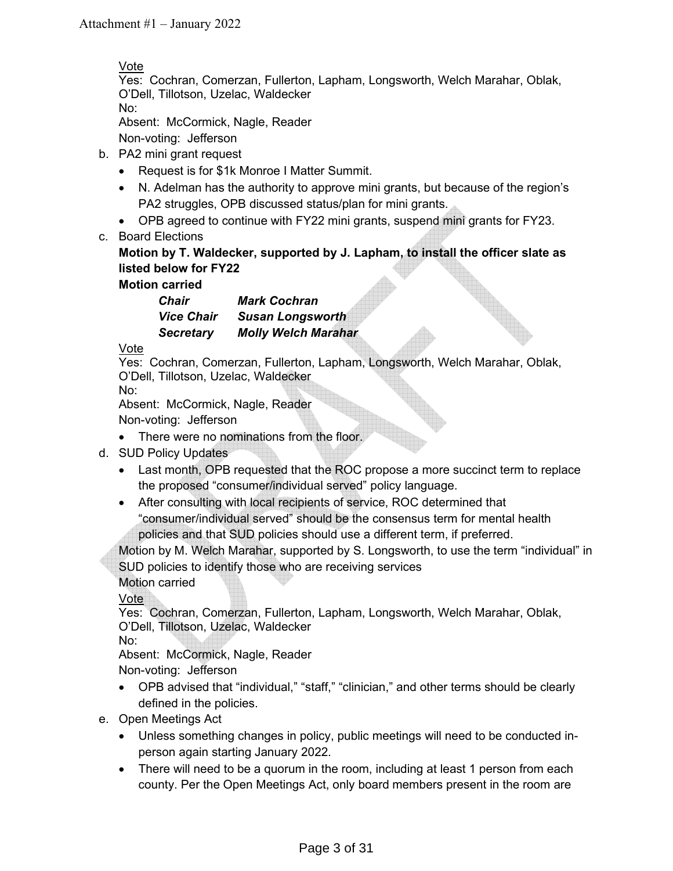## Vote

Yes: Cochran, Comerzan, Fullerton, Lapham, Longsworth, Welch Marahar, Oblak, O'Dell, Tillotson, Uzelac, Waldecker No:

Absent: McCormick, Nagle, Reader

Non-voting: Jefferson

- b. PA2 mini grant request
	- Request is for \$1k Monroe I Matter Summit.
	- N. Adelman has the authority to approve mini grants, but because of the region's PA2 struggles, OPB discussed status/plan for mini grants.
	- OPB agreed to continue with FY22 mini grants, suspend mini grants for FY23.
- c. Board Elections

## **Motion by T. Waldecker, supported by J. Lapham, to install the officer slate as listed below for FY22**

**Motion carried** 

| Chair             | <b>Mark Cochran</b>        |
|-------------------|----------------------------|
| <b>Vice Chair</b> | <b>Susan Longsworth</b>    |
| <b>Secretary</b>  | <b>Molly Welch Marahar</b> |

Vote

Yes: Cochran, Comerzan, Fullerton, Lapham, Longsworth, Welch Marahar, Oblak, O'Dell, Tillotson, Uzelac, Waldecker

No:

Absent: McCormick, Nagle, Reader

Non-voting: Jefferson

- There were no nominations from the floor.
- d. SUD Policy Updates
	- Last month, OPB requested that the ROC propose a more succinct term to replace the proposed "consumer/individual served" policy language.
	- After consulting with local recipients of service, ROC determined that "consumer/individual served" should be the consensus term for mental health policies and that SUD policies should use a different term, if preferred.

Motion by M. Welch Marahar, supported by S. Longsworth, to use the term "individual" in SUD policies to identify those who are receiving services

Motion carried

Vote

Yes: Cochran, Comerzan, Fullerton, Lapham, Longsworth, Welch Marahar, Oblak, O'Dell, Tillotson, Uzelac, Waldecker

No:

Absent: McCormick, Nagle, Reader

Non-voting: Jefferson

- OPB advised that "individual," "staff," "clinician," and other terms should be clearly defined in the policies.
- e. Open Meetings Act
	- Unless something changes in policy, public meetings will need to be conducted inperson again starting January 2022.
	- There will need to be a quorum in the room, including at least 1 person from each county. Per the Open Meetings Act, only board members present in the room are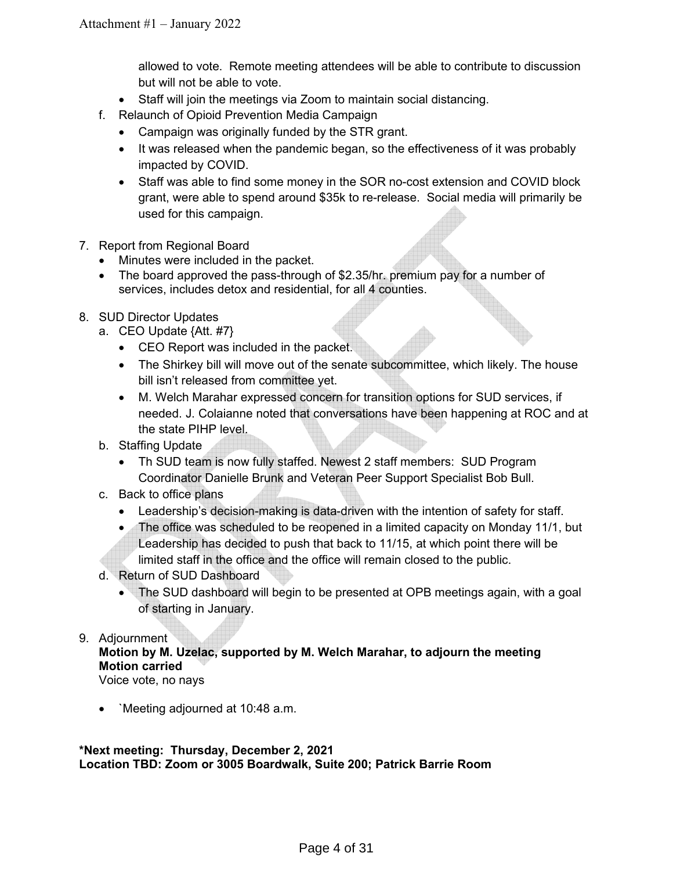allowed to vote. Remote meeting attendees will be able to contribute to discussion but will not be able to vote.

- Staff will join the meetings via Zoom to maintain social distancing.
- f. Relaunch of Opioid Prevention Media Campaign
	- Campaign was originally funded by the STR grant.
	- It was released when the pandemic began, so the effectiveness of it was probably impacted by COVID.
	- Staff was able to find some money in the SOR no-cost extension and COVID block grant, were able to spend around \$35k to re-release. Social media will primarily be used for this campaign.
- 7. Report from Regional Board
	- Minutes were included in the packet.
	- The board approved the pass-through of \$2.35/hr. premium pay for a number of services, includes detox and residential, for all 4 counties.
- 8. SUD Director Updates
	- a. CEO Update {Att. #7}
		- CEO Report was included in the packet.
		- The Shirkey bill will move out of the senate subcommittee, which likely. The house bill isn't released from committee yet.
		- M. Welch Marahar expressed concern for transition options for SUD services, if needed. J. Colaianne noted that conversations have been happening at ROC and at the state PIHP level.
	- b. Staffing Update
		- Th SUD team is now fully staffed. Newest 2 staff members: SUD Program Coordinator Danielle Brunk and Veteran Peer Support Specialist Bob Bull.
	- c. Back to office plans
		- Leadership's decision-making is data-driven with the intention of safety for staff.
		- The office was scheduled to be reopened in a limited capacity on Monday 11/1, but Leadership has decided to push that back to 11/15, at which point there will be
		- limited staff in the office and the office will remain closed to the public.
	- d. Return of SUD Dashboard
		- The SUD dashboard will begin to be presented at OPB meetings again, with a goal of starting in January.

## 9. Adjournment

## **Motion by M. Uzelac, supported by M. Welch Marahar, to adjourn the meeting Motion carried**

Voice vote, no nays

• Neeting adjourned at 10:48 a.m.

**\*Next meeting: Thursday, December 2, 2021 Location TBD: Zoom or 3005 Boardwalk, Suite 200; Patrick Barrie Room**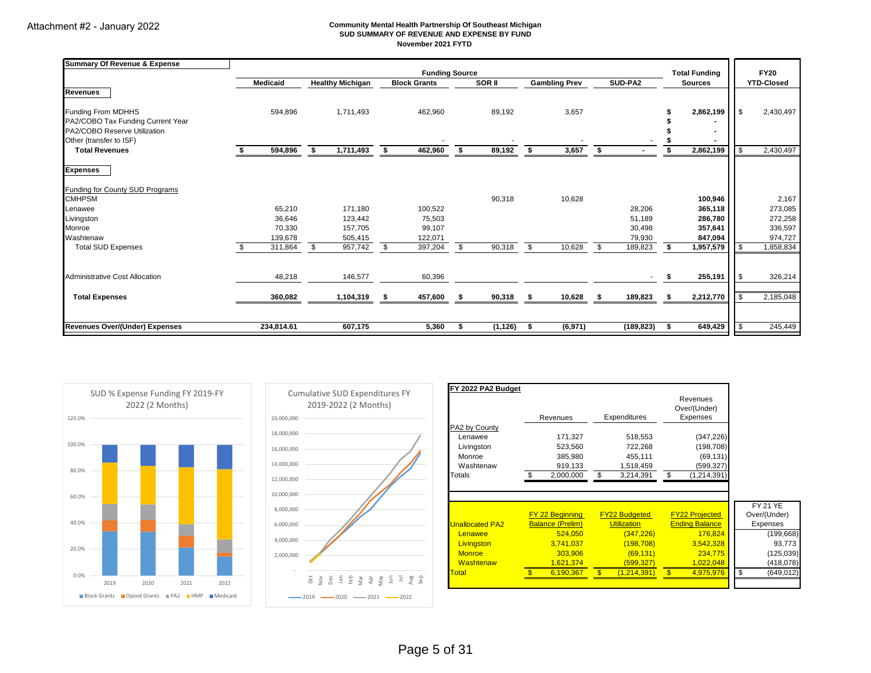#### **Community Mental Health Partnership Of Southeast Michigan SUD SUMMARY OF REVENUE AND EXPENSE BY FUND November 2021 FYTD**

| <b>Summary Of Revenue &amp; Expense</b> |                 |                         |      |                       |                   |    |                      |         |                          |      |                      |          |                   |
|-----------------------------------------|-----------------|-------------------------|------|-----------------------|-------------------|----|----------------------|---------|--------------------------|------|----------------------|----------|-------------------|
|                                         |                 |                         |      | <b>Funding Source</b> |                   |    |                      |         |                          |      | <b>Total Funding</b> |          | <b>FY20</b>       |
|                                         | <b>Medicaid</b> | <b>Healthy Michigan</b> |      | <b>Block Grants</b>   | SOR <sub>II</sub> |    | <b>Gambling Prev</b> | SUD-PA2 |                          |      | <b>Sources</b>       |          | <b>YTD-Closed</b> |
| <b>Revenues</b>                         |                 |                         |      |                       |                   |    |                      |         |                          |      |                      |          |                   |
| Funding From MDHHS                      | 594,896         | 1,711,493               |      | 462,960               | 89,192            |    | 3,657                |         |                          |      | 2,862,199            | <b>S</b> | 2,430,497         |
| PA2/COBO Tax Funding Current Year       |                 |                         |      |                       |                   |    |                      |         |                          |      |                      |          |                   |
| PA2/COBO Reserve Utilization            |                 |                         |      |                       |                   |    |                      |         |                          |      |                      |          |                   |
| Other (transfer to ISF)                 |                 |                         |      |                       |                   |    |                      |         |                          |      |                      |          |                   |
| <b>Total Revenues</b>                   | 594,896         | 1,711,493<br>\$         | - \$ | 462,960               | \$<br>89,192      | s. | 3,657                | Ŝ.      |                          |      | 2,862,199            | \$       | 2,430,497         |
| <b>Expenses</b>                         |                 |                         |      |                       |                   |    |                      |         |                          |      |                      |          |                   |
| Funding for County SUD Programs         |                 |                         |      |                       |                   |    |                      |         |                          |      |                      |          |                   |
| <b>CMHPSM</b>                           |                 |                         |      |                       | 90,318            |    | 10,628               |         |                          |      | 100,946              |          | 2,167             |
| Lenawee                                 | 65,210          | 171,180                 |      | 100,522               |                   |    |                      |         | 28,206                   |      | 365,118              |          | 273,085           |
| Livingston                              | 36,646          | 123,442                 |      | 75,503                |                   |    |                      |         | 51,189                   |      | 286,780              |          | 272,258           |
| Monroe                                  | 70,330          | 157,705                 |      | 99,107                |                   |    |                      |         | 30,498                   |      | 357,641              |          | 336,597           |
| Washtenaw                               | 139,678         | 505,415                 |      | 122,071               |                   |    |                      |         | 79,930                   |      | 847,094              |          | 974,727           |
| <b>Total SUD Expenses</b>               | 311,864         | 957,742<br>\$           | -S.  | 397,204               | \$<br>90,318      | \$ | 10,628               | S.      | 189,823                  | s.   | 1,957,579            | -\$      | 1,858,834         |
| Administrative Cost Allocation          | 48,218          | 146,577                 |      | 60,396                |                   |    |                      |         | $\overline{\phantom{a}}$ | - \$ | 255,191              | -\$      | 326,214           |
| <b>Total Expenses</b>                   | 360,082         | 1,104,319               |      | 457,600               | 90,318            |    | 10,628               |         | 189,823                  |      | 2,212,770            | <b>S</b> | 2,185,048         |
|                                         |                 |                         |      |                       |                   |    |                      |         |                          |      |                      |          |                   |
| Revenues Over/(Under) Expenses          | 234,814.61      | 607.175                 |      | 5,360                 | (1, 126)          | S. | (6, 971)             |         | (189, 823)               |      | 649,429              | <b>S</b> | 245,449           |





| FY 2022 PA2 Budget     | Revenues                | Expenditures         | Revenues<br>Over/(Under)<br>Expenses |                 |
|------------------------|-------------------------|----------------------|--------------------------------------|-----------------|
| PA2 by County          |                         |                      |                                      |                 |
| Lenawee                | 171,327                 | 518,553              | (347, 226)                           |                 |
| Livingston             | 523,560                 | 722,268              | (198, 708)                           |                 |
| Monroe                 | 385,980                 | 455,111              | (69, 131)                            |                 |
| Washtenaw              | 919,133                 | 1,518,459            | (599,327)                            |                 |
|                        |                         |                      |                                      |                 |
| Totals                 | 2.000.000               | \$<br>3,214,391      | \$<br>(1, 214, 391)                  |                 |
|                        |                         |                      |                                      | <b>FY 21 YE</b> |
|                        | <b>FY 22 Beginning</b>  | <b>FY22 Budgeted</b> | <b>FY22 Projected</b>                | Over/(Under)    |
| <b>Unallocated PA2</b> | <b>Balance (Prelim)</b> | <b>Utilization</b>   | <b>Ending Balance</b>                | Expenses        |
| Lenawee                | 524,050                 | (347, 226)           | 176,824                              | (199, 668)      |
| Livingston             | 3.741.037               | (198.708)            | 3,542,328                            | 93,773          |
| <b>Monroe</b>          | 303,906                 | (69, 131)            | 234,775                              | (125, 039)      |
| Washtenaw              | 1,621,374               | (599, 327)           | 1,022,048                            | (418, 078)      |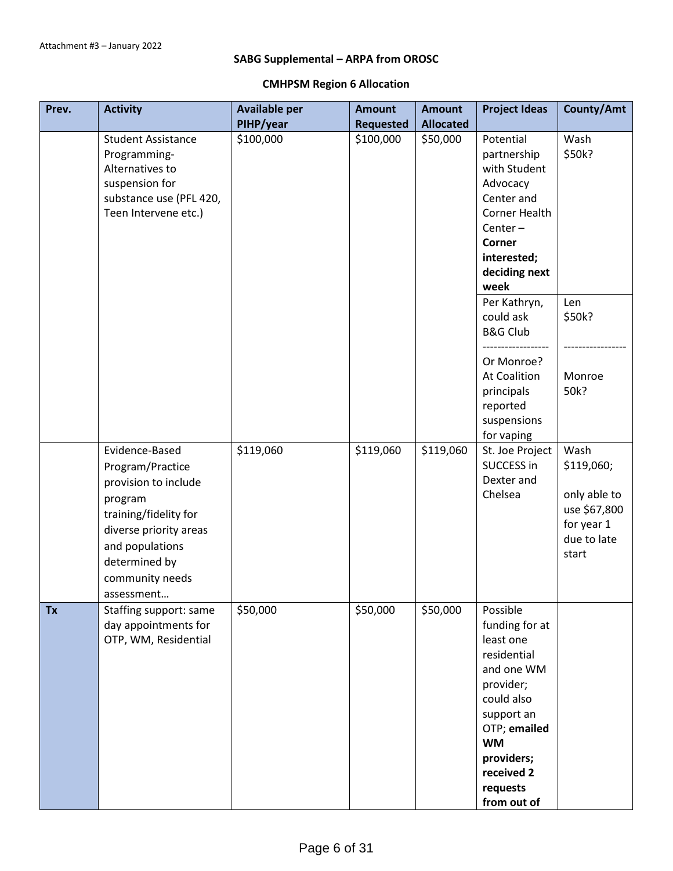## **SABG Supplemental – ARPA from OROSC**

## **CMHPSM Region 6 Allocation**

| Prev.     | <b>Activity</b>                                                                                                                                                                               | <b>Available per</b> | <b>Amount</b>    | <b>Amount</b>    | <b>Project Ideas</b>                                                                                                                                                                              | County/Amt                                                                               |
|-----------|-----------------------------------------------------------------------------------------------------------------------------------------------------------------------------------------------|----------------------|------------------|------------------|---------------------------------------------------------------------------------------------------------------------------------------------------------------------------------------------------|------------------------------------------------------------------------------------------|
|           |                                                                                                                                                                                               | PIHP/year            | <b>Requested</b> | <b>Allocated</b> |                                                                                                                                                                                                   |                                                                                          |
|           | <b>Student Assistance</b><br>Programming-<br>Alternatives to<br>suspension for<br>substance use (PFL 420,<br>Teen Intervene etc.)                                                             | \$100,000            | \$100,000        | \$50,000         | Potential<br>partnership<br>with Student<br>Advocacy<br>Center and<br>Corner Health<br>$Center -$<br>Corner<br>interested;<br>deciding next<br>week                                               | Wash<br>\$50k?                                                                           |
|           |                                                                                                                                                                                               |                      |                  |                  | Per Kathryn,<br>could ask<br><b>B&amp;G Club</b>                                                                                                                                                  | Len<br>\$50k?                                                                            |
|           |                                                                                                                                                                                               |                      |                  |                  | Or Monroe?<br><b>At Coalition</b><br>principals<br>reported<br>suspensions<br>for vaping                                                                                                          | Monroe<br>50k?                                                                           |
|           | Evidence-Based<br>Program/Practice<br>provision to include<br>program<br>training/fidelity for<br>diverse priority areas<br>and populations<br>determined by<br>community needs<br>assessment | \$119,060            | \$119,060        | \$119,060        | St. Joe Project<br>SUCCESS in<br>Dexter and<br>Chelsea                                                                                                                                            | Wash<br>\$119,060;<br>only able to<br>use \$67,800<br>for year 1<br>due to late<br>start |
| <b>Tx</b> | Staffing support: same<br>day appointments for<br>OTP, WM, Residential                                                                                                                        | \$50,000             | \$50,000         | \$50,000         | Possible<br>funding for at<br>least one<br>residential<br>and one WM<br>provider;<br>could also<br>support an<br>OTP; emailed<br><b>WM</b><br>providers;<br>received 2<br>requests<br>from out of |                                                                                          |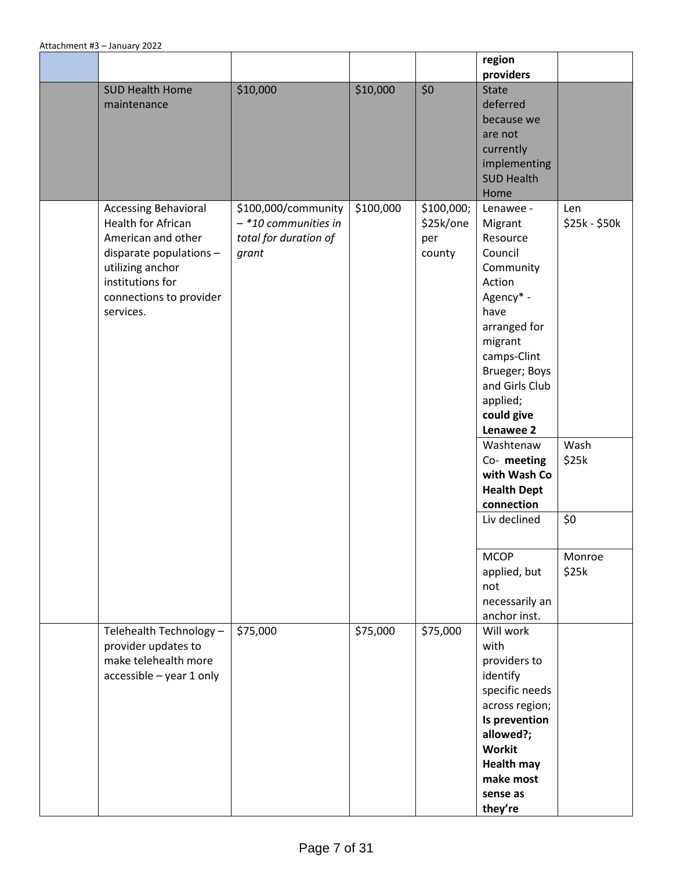|                                                                                                                                                                                           |                                                                                 |           |                                          | region<br>providers                                                                                                                                                                                                                                                          |                                       |
|-------------------------------------------------------------------------------------------------------------------------------------------------------------------------------------------|---------------------------------------------------------------------------------|-----------|------------------------------------------|------------------------------------------------------------------------------------------------------------------------------------------------------------------------------------------------------------------------------------------------------------------------------|---------------------------------------|
| <b>SUD Health Home</b><br>maintenance                                                                                                                                                     | \$10,000                                                                        | \$10,000  | \$0                                      | <b>State</b><br>deferred<br>because we<br>are not<br>currently<br>implementing<br><b>SUD Health</b><br>Home                                                                                                                                                                  |                                       |
| <b>Accessing Behavioral</b><br><b>Health for African</b><br>American and other<br>disparate populations -<br>utilizing anchor<br>institutions for<br>connections to provider<br>services. | \$100,000/community<br>$-$ *10 communities in<br>total for duration of<br>grant | \$100,000 | \$100,000;<br>\$25k/one<br>per<br>county | Lenawee -<br>Migrant<br>Resource<br>Council<br>Community<br>Action<br>Agency* -<br>have<br>arranged for<br>migrant<br>camps-Clint<br>Brueger; Boys<br>and Girls Club<br>applied;<br>could give<br>Lenawee 2<br>Washtenaw<br>Co-meeting<br>with Wash Co<br><b>Health Dept</b> | Len<br>$$25k - $50k$<br>Wash<br>\$25k |
|                                                                                                                                                                                           |                                                                                 |           |                                          | connection<br>Liv declined                                                                                                                                                                                                                                                   | \$0                                   |
|                                                                                                                                                                                           |                                                                                 |           |                                          | <b>MCOP</b><br>applied, but<br>not<br>necessarily an<br>anchor inst.                                                                                                                                                                                                         | Monroe<br>\$25k                       |
| Telehealth Technology -<br>provider updates to<br>make telehealth more<br>accessible - year 1 only                                                                                        | \$75,000                                                                        | \$75,000  | \$75,000                                 | Will work<br>with<br>providers to<br>identify<br>specific needs<br>across region;<br>Is prevention<br>allowed?;<br>Workit<br><b>Health may</b><br>make most<br>sense as<br>they're                                                                                           |                                       |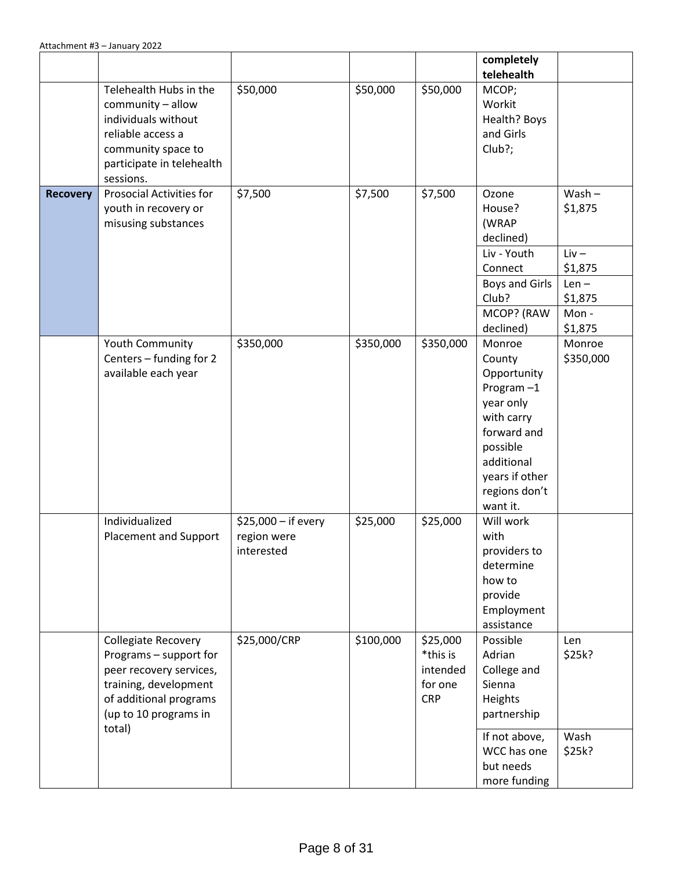|                 |                                                                                                                                                         |                                                  |           |                                                           | completely<br>telehealth                                                                                                                                           |                                           |
|-----------------|---------------------------------------------------------------------------------------------------------------------------------------------------------|--------------------------------------------------|-----------|-----------------------------------------------------------|--------------------------------------------------------------------------------------------------------------------------------------------------------------------|-------------------------------------------|
|                 | Telehealth Hubs in the<br>community - allow<br>individuals without<br>reliable access a<br>community space to<br>participate in telehealth<br>sessions. | \$50,000                                         | \$50,000  | \$50,000                                                  | MCOP;<br>Workit<br>Health? Boys<br>and Girls<br>Club?;                                                                                                             |                                           |
| <b>Recovery</b> | Prosocial Activities for<br>youth in recovery or<br>misusing substances                                                                                 | \$7,500                                          | \$7,500   | \$7,500                                                   | Ozone<br>House?<br>(WRAP<br>declined)<br>Liv - Youth<br>Connect                                                                                                    | $Wash -$<br>\$1,875<br>$Liv -$<br>\$1,875 |
|                 |                                                                                                                                                         |                                                  |           |                                                           | Boys and Girls<br>Club?<br>MCOP? (RAW<br>declined)                                                                                                                 | $Len -$<br>\$1,875<br>Mon-<br>\$1,875     |
|                 | Youth Community<br>Centers - funding for 2<br>available each year                                                                                       | \$350,000                                        | \$350,000 | \$350,000                                                 | Monroe<br>County<br>Opportunity<br>Program $-1$<br>year only<br>with carry<br>forward and<br>possible<br>additional<br>years if other<br>regions don't<br>want it. | Monroe<br>\$350,000                       |
|                 | Individualized<br>Placement and Support                                                                                                                 | \$25,000 - if every<br>region were<br>interested | \$25,000  | \$25,000                                                  | Will work<br>with<br>providers to<br>determine<br>how to<br>provide<br>Employment<br>assistance                                                                    |                                           |
|                 | Collegiate Recovery<br>Programs - support for<br>peer recovery services,<br>training, development<br>of additional programs<br>(up to 10 programs in    | \$25,000/CRP                                     | \$100,000 | \$25,000<br>*this is<br>intended<br>for one<br><b>CRP</b> | Possible<br>Adrian<br>College and<br>Sienna<br>Heights<br>partnership                                                                                              | Len<br>\$25k?                             |
|                 | total)                                                                                                                                                  |                                                  |           |                                                           | If not above,<br>WCC has one<br>but needs<br>more funding                                                                                                          | Wash<br>\$25k?                            |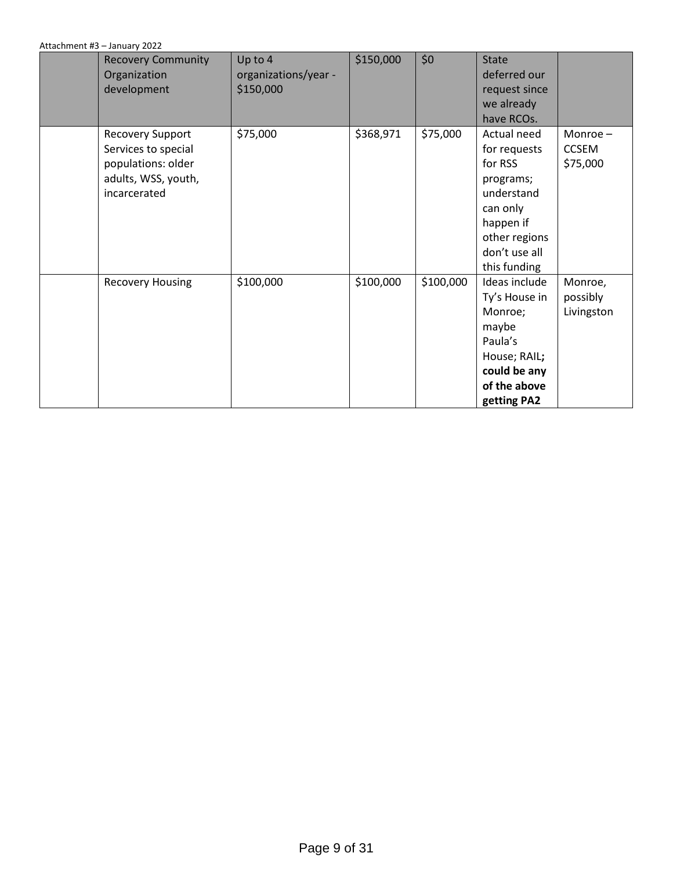| <b>Recovery Community</b><br>Organization<br>development                                                    | Up to 4<br>organizations/year -<br>\$150,000 | \$150,000 | \$0       | <b>State</b><br>deferred our<br>request since<br>we already                                                                                  |                                     |
|-------------------------------------------------------------------------------------------------------------|----------------------------------------------|-----------|-----------|----------------------------------------------------------------------------------------------------------------------------------------------|-------------------------------------|
|                                                                                                             |                                              |           |           | have RCOs.                                                                                                                                   |                                     |
| <b>Recovery Support</b><br>Services to special<br>populations: older<br>adults, WSS, youth,<br>incarcerated | \$75,000                                     | \$368,971 | \$75,000  | Actual need<br>for requests<br>for RSS<br>programs;<br>understand<br>can only<br>happen if<br>other regions<br>don't use all<br>this funding | Monroe-<br><b>CCSEM</b><br>\$75,000 |
| <b>Recovery Housing</b>                                                                                     | \$100,000                                    | \$100,000 | \$100,000 | Ideas include<br>Ty's House in<br>Monroe;<br>maybe<br>Paula's<br>House; RAIL;<br>could be any<br>of the above<br>getting PA2                 | Monroe,<br>possibly<br>Livingston   |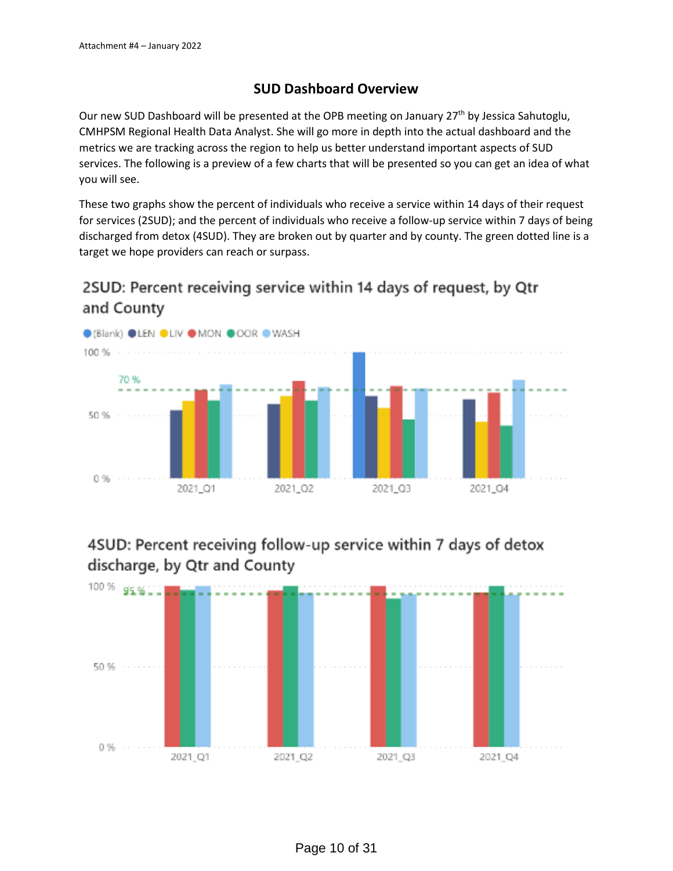## **SUD Dashboard Overview**

Our new SUD Dashboard will be presented at the OPB meeting on January 27th by Jessica Sahutoglu, CMHPSM Regional Health Data Analyst. She will go more in depth into the actual dashboard and the metrics we are tracking across the region to help us better understand important aspects of SUD services. The following is a preview of a few charts that will be presented so you can get an idea of what you will see.

These two graphs show the percent of individuals who receive a service within 14 days of their request for services (2SUD); and the percent of individuals who receive a follow-up service within 7 days of being discharged from detox (4SUD). They are broken out by quarter and by county. The green dotted line is a target we hope providers can reach or surpass.

# 2SUD: Percent receiving service within 14 days of request, by Qtr and County



# 4SUD: Percent receiving follow-up service within 7 days of detox discharge, by Qtr and County

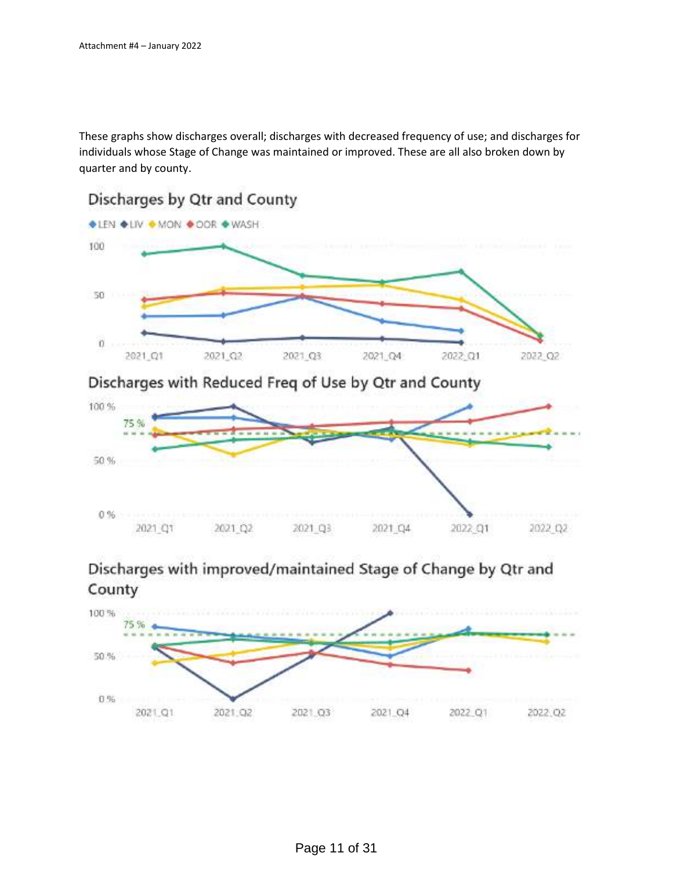These graphs show discharges overall; discharges with decreased frequency of use; and discharges for individuals whose Stage of Change was maintained or improved. These are all also broken down by quarter and by county.



Discharges with Reduced Freq of Use by Qtr and County



## Discharges with improved/maintained Stage of Change by Qtr and County

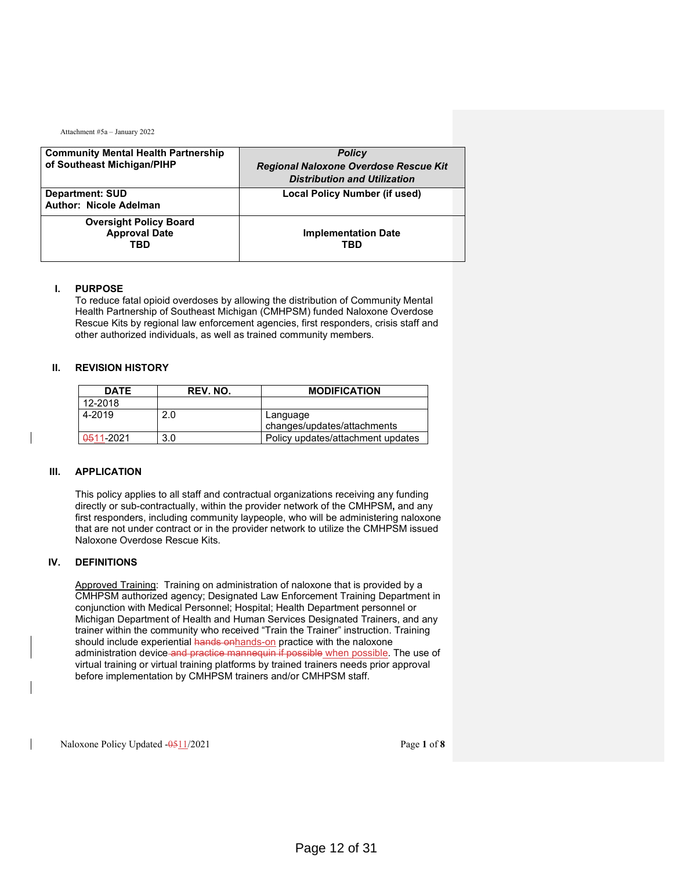| <b>Community Mental Health Partnership</b>                   | <b>Policy</b>                                |
|--------------------------------------------------------------|----------------------------------------------|
| of Southeast Michigan/PIHP                                   | <b>Regional Naloxone Overdose Rescue Kit</b> |
|                                                              | <b>Distribution and Utilization</b>          |
| <b>Department: SUD</b>                                       | Local Policy Number (if used)                |
| <b>Author: Nicole Adelman</b>                                |                                              |
| <b>Oversight Policy Board</b><br><b>Approval Date</b><br>TBD | <b>Implementation Date</b><br>TBD            |
|                                                              |                                              |

#### **I. PURPOSE**

To reduce fatal opioid overdoses by allowing the distribution of Community Mental Health Partnership of Southeast Michigan (CMHPSM) funded Naloxone Overdose Rescue Kits by regional law enforcement agencies, first responders, crisis staff and other authorized individuals, as well as trained community members.

#### **II. REVISION HISTORY**

| <b>DATE</b> | REV. NO. | <b>MODIFICATION</b>                     |
|-------------|----------|-----------------------------------------|
| 12-2018     |          |                                         |
| 4-2019      | 2.0      | Language<br>changes/updates/attachments |
|             |          |                                         |
| 0511-2021   | 3.0      | Policy updates/attachment updates       |

#### **III. APPLICATION**

This policy applies to all staff and contractual organizations receiving any funding directly or sub-contractually, within the provider network of the CMHPSM**,** and any first responders, including community laypeople, who will be administering naloxone that are not under contract or in the provider network to utilize the CMHPSM issued Naloxone Overdose Rescue Kits.

#### **IV. DEFINITIONS**

Approved Training: Training on administration of naloxone that is provided by a CMHPSM authorized agency; Designated Law Enforcement Training Department in conjunction with Medical Personnel; Hospital; Health Department personnel or Michigan Department of Health and Human Services Designated Trainers, and any trainer within the community who received "Train the Trainer" instruction. Training should include experiential hands onhands-on practice with the naloxone administration device and practice mannequin if possible when possible. The use of virtual training or virtual training platforms by trained trainers needs prior approval before implementation by CMHPSM trainers and/or CMHPSM staff.

Naloxone Policy Updated -0511/2021 Page 1 of **8**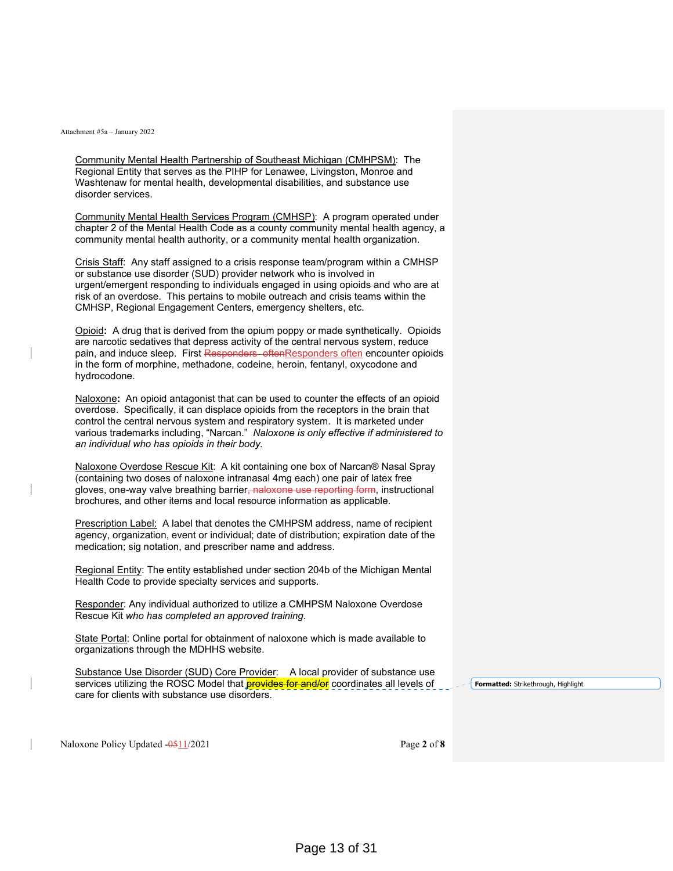Community Mental Health Partnership of Southeast Michigan (CMHPSM): The Regional Entity that serves as the PIHP for Lenawee, Livingston, Monroe and Washtenaw for mental health, developmental disabilities, and substance use disorder services.

Community Mental Health Services Program (CMHSP): A program operated under chapter 2 of the Mental Health Code as a county community mental health agency, a community mental health authority, or a community mental health organization.

Crisis Staff: Any staff assigned to a crisis response team/program within a CMHSP or substance use disorder (SUD) provider network who is involved in urgent/emergent responding to individuals engaged in using opioids and who are at risk of an overdose. This pertains to mobile outreach and crisis teams within the CMHSP, Regional Engagement Centers, emergency shelters, etc.

Opioid**:** A drug that is derived from the opium poppy or made synthetically. Opioids are narcotic sedatives that depress activity of the central nervous system, reduce pain, and induce sleep. First Responders oftenResponders often encounter opioids in the form of morphine, methadone, codeine, heroin, fentanyl, oxycodone and hydrocodone.

Naloxone**:** An opioid antagonist that can be used to counter the effects of an opioid overdose. Specifically, it can displace opioids from the receptors in the brain that control the central nervous system and respiratory system. It is marketed under various trademarks including, "Narcan." *Naloxone is only effective if administered to an individual who has opioids in their body.* 

Naloxone Overdose Rescue Kit: A kit containing one box of Narcan® Nasal Spray (containing two doses of naloxone intranasal 4mg each) one pair of latex free gloves, one-way valve breathing barrier, naloxone use reporting form, instructional brochures, and other items and local resource information as applicable.

Prescription Label: A label that denotes the CMHPSM address, name of recipient agency, organization, event or individual; date of distribution; expiration date of the medication; sig notation, and prescriber name and address.

Regional Entity: The entity established under section 204b of the Michigan Mental Health Code to provide specialty services and supports.

Responder: Any individual authorized to utilize a CMHPSM Naloxone Overdose Rescue Kit *who has completed an approved training*.

State Portal: Online portal for obtainment of naloxone which is made available to organizations through the MDHHS website.

Substance Use Disorder (SUD) Core Provider: A local provider of substance use services utilizing the ROSC Model that **provides for and/or** coordinates all levels of care for clients with substance use disorders.

**Formatted:** Strikethrough, Highlight

Naloxone Policy Updated -0511/2021 Page 2 of **8**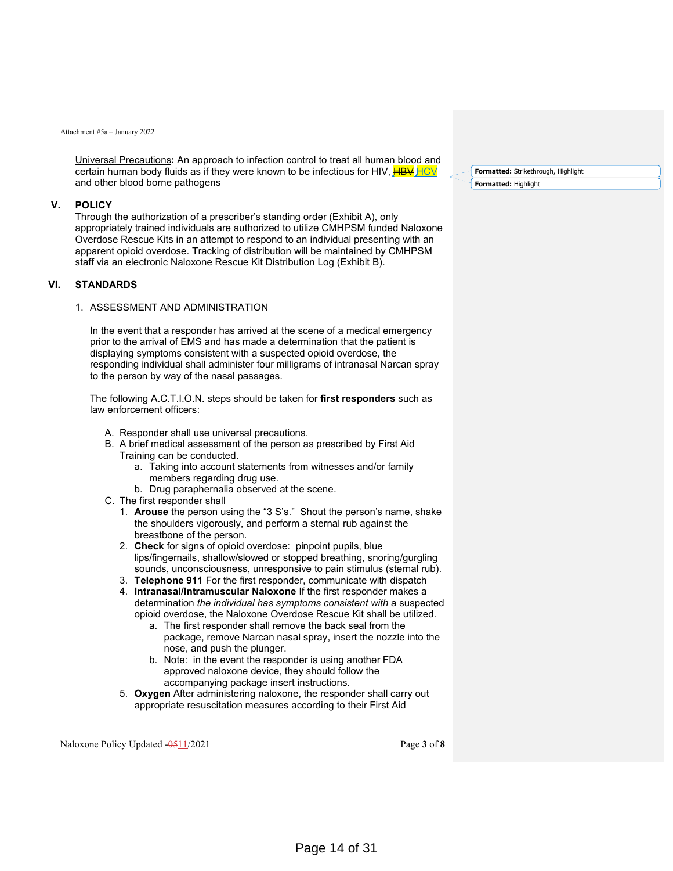Universal Precautions**:** An approach to infection control to treat all human blood and certain human body fluids as if they were known to be infectious for HIV,  $H\rightarrow W$ and other blood borne pathogens

#### **V. POLICY**

Through the authorization of a prescriber's standing order (Exhibit A), only appropriately trained individuals are authorized to utilize CMHPSM funded Naloxone Overdose Rescue Kits in an attempt to respond to an individual presenting with an apparent opioid overdose. Tracking of distribution will be maintained by CMHPSM staff via an electronic Naloxone Rescue Kit Distribution Log (Exhibit B).

#### **VI. STANDARDS**

#### 1. ASSESSMENT AND ADMINISTRATION

In the event that a responder has arrived at the scene of a medical emergency prior to the arrival of EMS and has made a determination that the patient is displaying symptoms consistent with a suspected opioid overdose, the responding individual shall administer four milligrams of intranasal Narcan spray to the person by way of the nasal passages.

The following A.C.T.I.O.N. steps should be taken for **first responders** such as law enforcement officers:

- A. Responder shall use universal precautions.
- B. A brief medical assessment of the person as prescribed by First Aid Training can be conducted.
	- a. Taking into account statements from witnesses and/or family members regarding drug use.
	- b. Drug paraphernalia observed at the scene.
- C. The first responder shall
	- 1. **Arouse** the person using the "3 S's." Shout the person's name, shake the shoulders vigorously, and perform a sternal rub against the breastbone of the person.
	- 2. **Check** for signs of opioid overdose: pinpoint pupils, blue lips/fingernails, shallow/slowed or stopped breathing, snoring/gurgling sounds, unconsciousness, unresponsive to pain stimulus (sternal rub).
	- 3. **Telephone 911** For the first responder, communicate with dispatch
	- 4. **Intranasal/Intramuscular Naloxone** If the first responder makes a determination *the individual has symptoms consistent with* a suspected opioid overdose, the Naloxone Overdose Rescue Kit shall be utilized.
		- a. The first responder shall remove the back seal from the package, remove Narcan nasal spray, insert the nozzle into the nose, and push the plunger.
		- b. Note: in the event the responder is using another FDA approved naloxone device, they should follow the accompanying package insert instructions.
	- 5. **Oxygen** After administering naloxone, the responder shall carry out appropriate resuscitation measures according to their First Aid

Naloxone Policy Updated -0511/2021 Page 3 of **8** 

**Formatted:** Strikethrough, Highlight **Formatted:** Highlight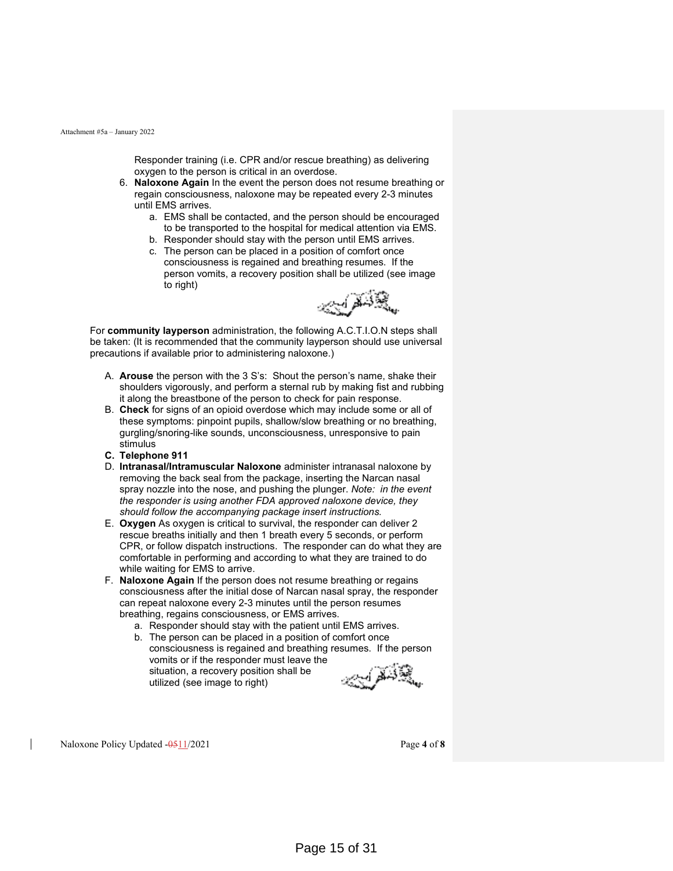Responder training (i.e. CPR and/or rescue breathing) as delivering oxygen to the person is critical in an overdose.

- 6. **Naloxone Again** In the event the person does not resume breathing or regain consciousness, naloxone may be repeated every 2-3 minutes until EMS arrives.
	- a. EMS shall be contacted, and the person should be encouraged to be transported to the hospital for medical attention via EMS.
	- b. Responder should stay with the person until EMS arrives.
	- c. The person can be placed in a position of comfort once consciousness is regained and breathing resumes. If the person vomits, a recovery position shall be utilized (see image to right)



For **community layperson** administration, the following A.C.T.I.O.N steps shall be taken: (It is recommended that the community layperson should use universal precautions if available prior to administering naloxone.)

- A. **Arouse** the person with the 3 S's: Shout the person's name, shake their shoulders vigorously, and perform a sternal rub by making fist and rubbing it along the breastbone of the person to check for pain response.
- B. **Check** for signs of an opioid overdose which may include some or all of these symptoms: pinpoint pupils, shallow/slow breathing or no breathing, gurgling/snoring-like sounds, unconsciousness, unresponsive to pain stimulus
- **C. Telephone 911**
- D. **Intranasal/Intramuscular Naloxone** administer intranasal naloxone by removing the back seal from the package, inserting the Narcan nasal spray nozzle into the nose, and pushing the plunger. *Note: in the event the responder is using another FDA approved naloxone device, they should follow the accompanying package insert instructions.*
- E. **Oxygen** As oxygen is critical to survival, the responder can deliver 2 rescue breaths initially and then 1 breath every 5 seconds, or perform CPR, or follow dispatch instructions. The responder can do what they are comfortable in performing and according to what they are trained to do while waiting for EMS to arrive.
- F. **Naloxone Again** If the person does not resume breathing or regains consciousness after the initial dose of Narcan nasal spray, the responder can repeat naloxone every 2-3 minutes until the person resumes breathing, regains consciousness, or EMS arrives.
	- a. Responder should stay with the patient until EMS arrives.
	- b. The person can be placed in a position of comfort once consciousness is regained and breathing resumes. If the person vomits or if the responder must leave the situation, a recovery position shall be utilized (see image to right)



Naloxone Policy Updated  $-0.511/2021$  Page 4 of 8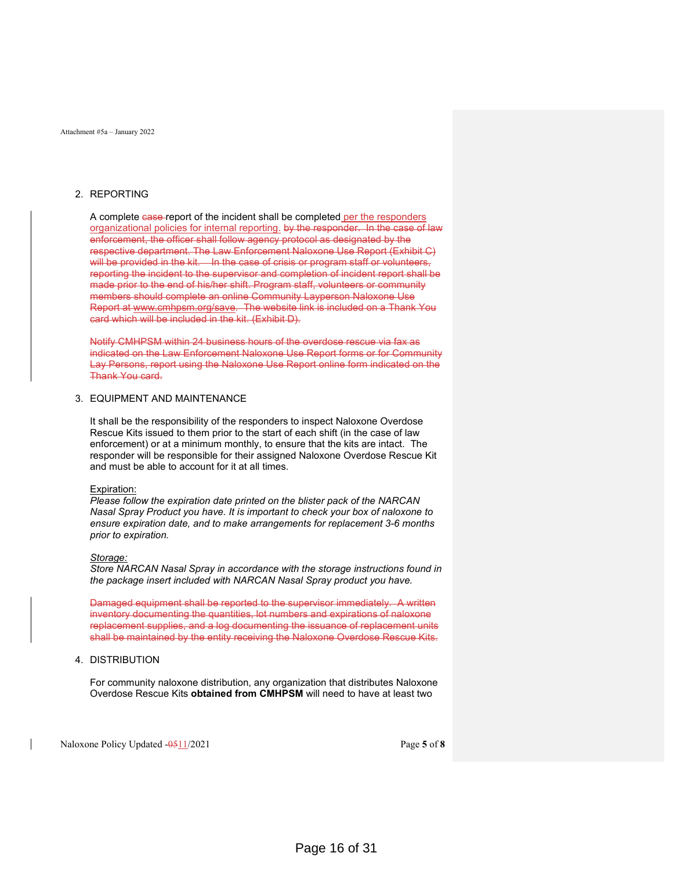#### 2. REPORTING

A complete case report of the incident shall be completed per the responders organizational policies for internal reporting. by the responder. In the case of law enforcement, the officer shall follow agency protocol as designated by the respective department. The Law Enforcement Naloxone Use Report (Exhibit C) will be provided in the kit. In the case of crisis or program staff or volunteers, reporting the incident to the supervisor and completion of incident report shall be made prior to the end of his/her shift. Program staff, volunteers or community members should complete an online Community Layperson Naloxone Use Report at www.cmhpsm.org/save. The website link is included on a Thank You card which will be included in the kit. (Exhibit D).

Notify CMHPSM within 24 business hours of the overdose rescue via fax as indicated on the Law Enforcement Naloxone Use Report forms or for Community Lay Persons, report using the Naloxone Use Report online form indicated on the Thank You card.

#### 3. EQUIPMENT AND MAINTENANCE

It shall be the responsibility of the responders to inspect Naloxone Overdose Rescue Kits issued to them prior to the start of each shift (in the case of law enforcement) or at a minimum monthly, to ensure that the kits are intact. The responder will be responsible for their assigned Naloxone Overdose Rescue Kit and must be able to account for it at all times.

#### Expiration:

*Please follow the expiration date printed on the blister pack of the NARCAN Nasal Spray Product you have. It is important to check your box of naloxone to ensure expiration date, and to make arrangements for replacement 3-6 months prior to expiration.* 

#### *Storage:*

*Store NARCAN Nasal Spray in accordance with the storage instructions found in the package insert included with NARCAN Nasal Spray product you have.* 

Damaged equipment shall be reported to the supervisor immediately. A written inventory documenting the quantities, lot numbers and expirations of naloxone replacement supplies, and a log documenting the issuance of replacement units shall be maintained by the entity receiving the Naloxone Overdose Rescue Kits.

#### 4. DISTRIBUTION

For community naloxone distribution, any organization that distributes Naloxone Overdose Rescue Kits **obtained from CMHPSM** will need to have at least two

Naloxone Policy Updated -0511/2021 Page 5 of **8**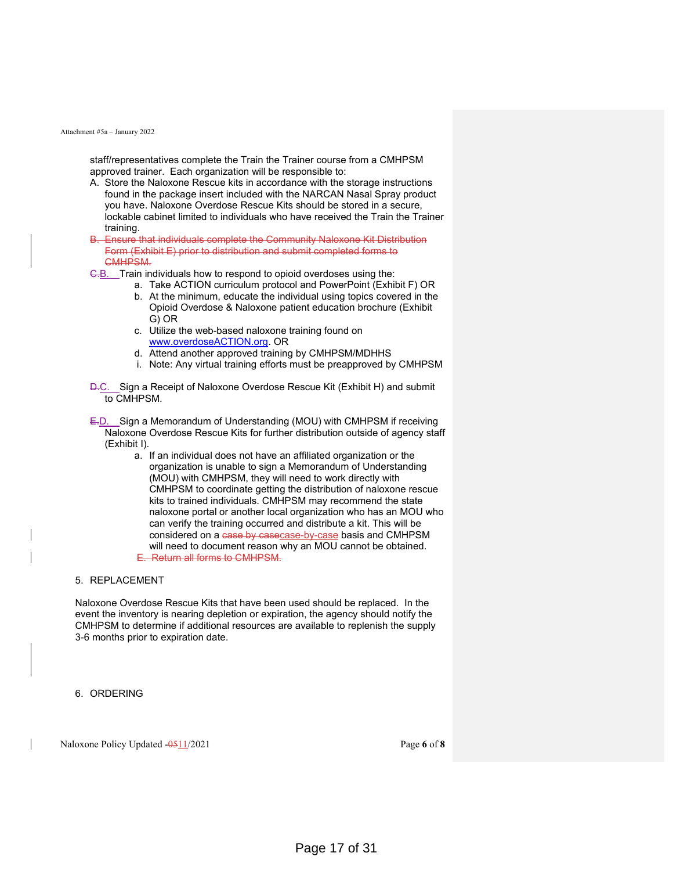staff/representatives complete the Train the Trainer course from a CMHPSM approved trainer. Each organization will be responsible to:

- A. Store the Naloxone Rescue kits in accordance with the storage instructions found in the package insert included with the NARCAN Nasal Spray product you have. Naloxone Overdose Rescue Kits should be stored in a secure, lockable cabinet limited to individuals who have received the Train the Trainer training.
- B. Ensure that individuals complete the Community Naloxone Kit Distribution Form (Exhibit E) prior to distribution and submit completed forms to CMHPSM.
- G.B. Train individuals how to respond to opioid overdoses using the:
	- a. Take ACTION curriculum protocol and PowerPoint (Exhibit F) OR
		- b. At the minimum, educate the individual using topics covered in the Opioid Overdose & Naloxone patient education brochure (Exhibit G) OR
		- c. Utilize the web-based naloxone training found on www.overdoseACTION.org. OR
		- d. Attend another approved training by CMHPSM/MDHHS
	- i. Note: Any virtual training efforts must be preapproved by CMHPSM
- **D.C.** Sign a Receipt of Naloxone Overdose Rescue Kit (Exhibit H) and submit to CMHPSM.
- E.D. Sign a Memorandum of Understanding (MOU) with CMHPSM if receiving Naloxone Overdose Rescue Kits for further distribution outside of agency staff (Exhibit I).
	- a. If an individual does not have an affiliated organization or the organization is unable to sign a Memorandum of Understanding (MOU) with CMHPSM, they will need to work directly with CMHPSM to coordinate getting the distribution of naloxone rescue kits to trained individuals. CMHPSM may recommend the state naloxone portal or another local organization who has an MOU who can verify the training occurred and distribute a kit. This will be considered on a case by casecase-by-case basis and CMHPSM will need to document reason why an MOU cannot be obtained. Return all forms to CMHPSM.

#### 5. REPLACEMENT

Naloxone Overdose Rescue Kits that have been used should be replaced. In the event the inventory is nearing depletion or expiration, the agency should notify the CMHPSM to determine if additional resources are available to replenish the supply 3-6 months prior to expiration date.

6. ORDERING

Naloxone Policy Updated -0511/2021 Page 6 of 8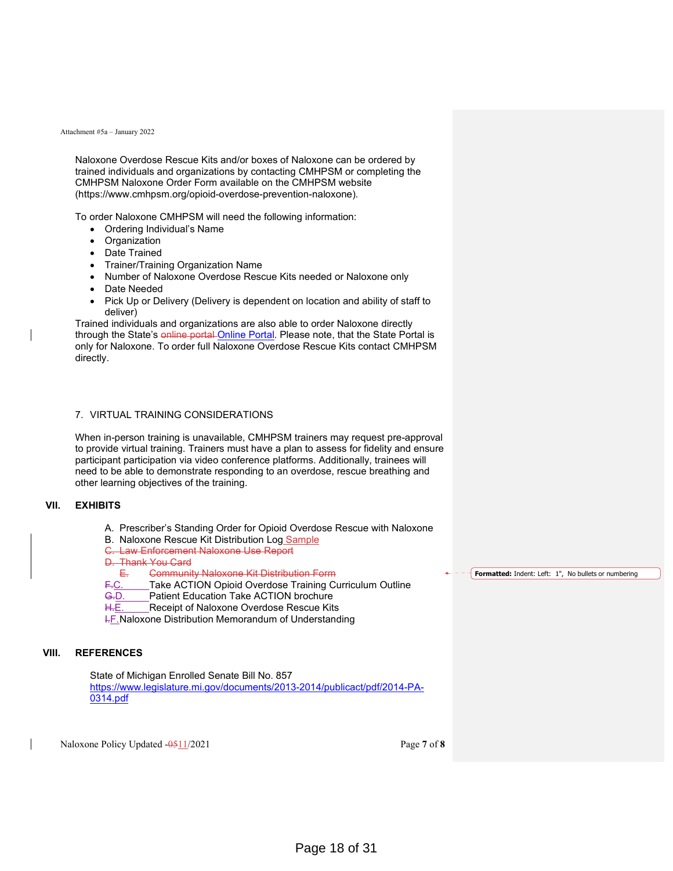Naloxone Overdose Rescue Kits and/or boxes of Naloxone can be ordered by trained individuals and organizations by contacting CMHPSM or completing the CMHPSM Naloxone Order Form available on the CMHPSM website (https://www.cmhpsm.org/opioid-overdose-prevention-naloxone).

To order Naloxone CMHPSM will need the following information:

- Ordering Individual's Name
- Organization
- Date Trained
- Trainer/Training Organization Name
- Number of Naloxone Overdose Rescue Kits needed or Naloxone only
- Date Needed
- Pick Up or Delivery (Delivery is dependent on location and ability of staff to deliver)

Trained individuals and organizations are also able to order Naloxone directly through the State's online portal Online Portal. Please note, that the State Portal is only for Naloxone. To order full Naloxone Overdose Rescue Kits contact CMHPSM directly.

#### 7. VIRTUAL TRAINING CONSIDERATIONS

When in-person training is unavailable, CMHPSM trainers may request pre-approval to provide virtual training. Trainers must have a plan to assess for fidelity and ensure participant participation via video conference platforms. Additionally, trainees will need to be able to demonstrate responding to an overdose, rescue breathing and other learning objectives of the training.

#### **VII. EXHIBITS**

- A. Prescriber's Standing Order for Opioid Overdose Rescue with Naloxone
- B. Naloxone Rescue Kit Distribution Log Sample
- C. Law Enforcement Naloxone Use Report

D. Thank You Card

- 
- E. Community Naloxone Kit Distribution Form<br>F.C. Take ACTION Opioid Overdose Training C Take ACTION Opioid Overdose Training Curriculum Outline
- G.D. Patient Education Take ACTION brochure
- H.E. Receipt of Naloxone Overdose Rescue Kits
- **I.F. Naloxone Distribution Memorandum of Understanding**

#### **VIII. REFERENCES**

State of Michigan Enrolled Senate Bill No. 857 https://www.legislature.mi.gov/documents/2013-2014/publicact/pdf/2014-PA-0314.pdf

Naloxone Policy Updated -0511/2021 Page 7 of **8** 

**Formatted:** Indent: Left: 1", No bullets or numbering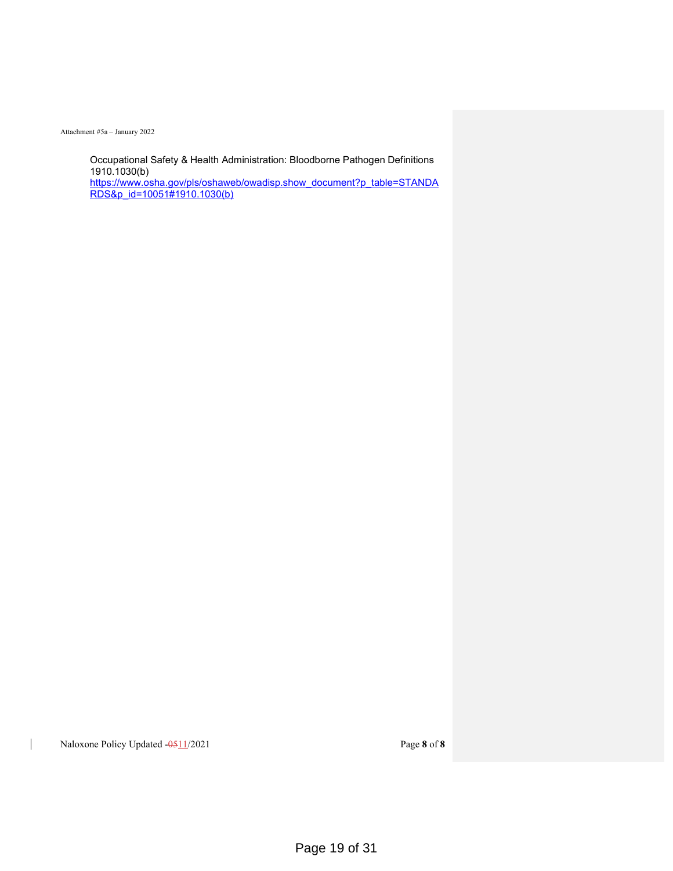Occupational Safety & Health Administration: Bloodborne Pathogen Definitions 1910.1030(b) https://www.osha.gov/pls/oshaweb/owadisp.show\_document?p\_table=STANDA RDS&p\_id=10051#1910.1030(b)

Naloxone Policy Updated -0511/2021 Page 8 of 8

 $\overline{\phantom{a}}$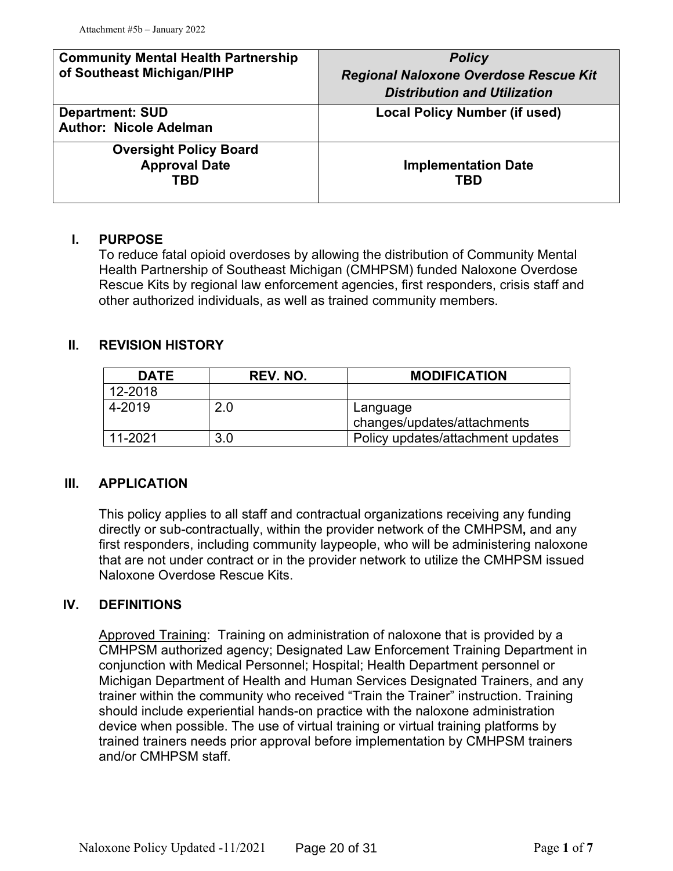| <b>Community Mental Health Partnership</b>                   | <b>Policy</b>                                |
|--------------------------------------------------------------|----------------------------------------------|
| of Southeast Michigan/PIHP                                   | <b>Regional Naloxone Overdose Rescue Kit</b> |
|                                                              | <b>Distribution and Utilization</b>          |
| <b>Department: SUD</b><br><b>Author: Nicole Adelman</b>      | <b>Local Policy Number (if used)</b>         |
| <b>Oversight Policy Board</b><br><b>Approval Date</b><br>TBD | <b>Implementation Date</b><br>TBD            |

## **I. PURPOSE**

To reduce fatal opioid overdoses by allowing the distribution of Community Mental Health Partnership of Southeast Michigan (CMHPSM) funded Naloxone Overdose Rescue Kits by regional law enforcement agencies, first responders, crisis staff and other authorized individuals, as well as trained community members.

## **II. REVISION HISTORY**

| <b>DATE</b> | REV. NO. | <b>MODIFICATION</b>                     |
|-------------|----------|-----------------------------------------|
| 12-2018     |          |                                         |
| 4-2019      | 2.0      | Language<br>changes/updates/attachments |
| 11-2021     | 3.0      | Policy updates/attachment updates       |

## **III. APPLICATION**

This policy applies to all staff and contractual organizations receiving any funding directly or sub-contractually, within the provider network of the CMHPSM**,** and any first responders, including community laypeople, who will be administering naloxone that are not under contract or in the provider network to utilize the CMHPSM issued Naloxone Overdose Rescue Kits.

## **IV. DEFINITIONS**

Approved Training: Training on administration of naloxone that is provided by a CMHPSM authorized agency; Designated Law Enforcement Training Department in conjunction with Medical Personnel; Hospital; Health Department personnel or Michigan Department of Health and Human Services Designated Trainers, and any trainer within the community who received "Train the Trainer" instruction. Training should include experiential hands-on practice with the naloxone administration device when possible. The use of virtual training or virtual training platforms by trained trainers needs prior approval before implementation by CMHPSM trainers and/or CMHPSM staff.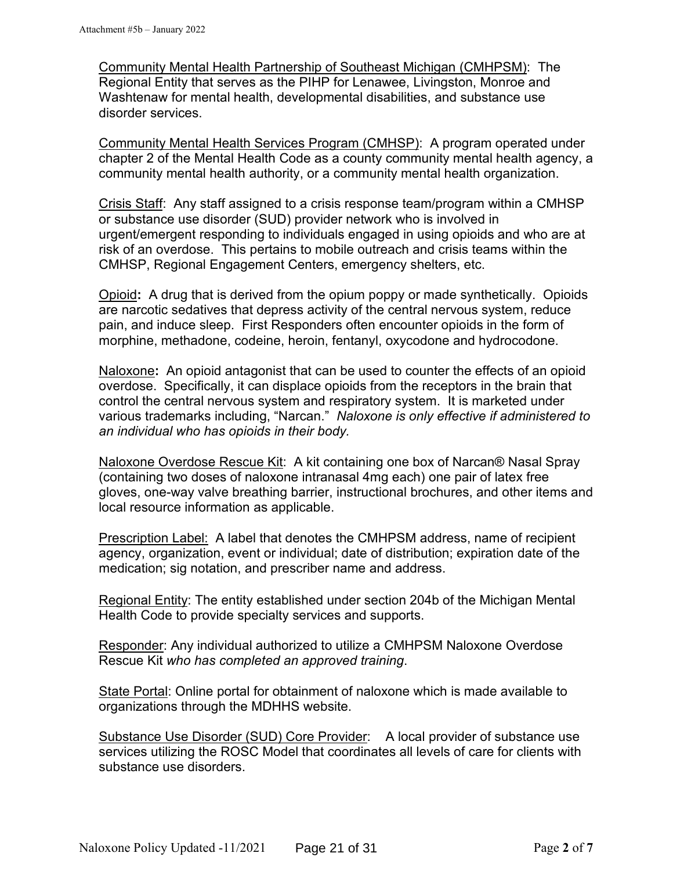Community Mental Health Partnership of Southeast Michigan (CMHPSM): The Regional Entity that serves as the PIHP for Lenawee, Livingston, Monroe and Washtenaw for mental health, developmental disabilities, and substance use disorder services.

Community Mental Health Services Program (CMHSP): A program operated under chapter 2 of the Mental Health Code as a county community mental health agency, a community mental health authority, or a community mental health organization.

Crisis Staff: Any staff assigned to a crisis response team/program within a CMHSP or substance use disorder (SUD) provider network who is involved in urgent/emergent responding to individuals engaged in using opioids and who are at risk of an overdose. This pertains to mobile outreach and crisis teams within the CMHSP, Regional Engagement Centers, emergency shelters, etc.

Opioid**:** A drug that is derived from the opium poppy or made synthetically. Opioids are narcotic sedatives that depress activity of the central nervous system, reduce pain, and induce sleep. First Responders often encounter opioids in the form of morphine, methadone, codeine, heroin, fentanyl, oxycodone and hydrocodone.

Naloxone**:** An opioid antagonist that can be used to counter the effects of an opioid overdose. Specifically, it can displace opioids from the receptors in the brain that control the central nervous system and respiratory system. It is marketed under various trademarks including, "Narcan." *Naloxone is only effective if administered to an individual who has opioids in their body.* 

Naloxone Overdose Rescue Kit: A kit containing one box of Narcan® Nasal Spray (containing two doses of naloxone intranasal 4mg each) one pair of latex free gloves, one-way valve breathing barrier, instructional brochures, and other items and local resource information as applicable.

Prescription Label: A label that denotes the CMHPSM address, name of recipient agency, organization, event or individual; date of distribution; expiration date of the medication; sig notation, and prescriber name and address.

Regional Entity: The entity established under section 204b of the Michigan Mental Health Code to provide specialty services and supports.

Responder: Any individual authorized to utilize a CMHPSM Naloxone Overdose Rescue Kit *who has completed an approved training*.

State Portal: Online portal for obtainment of naloxone which is made available to organizations through the MDHHS website.

Substance Use Disorder (SUD) Core Provider: A local provider of substance use services utilizing the ROSC Model that coordinates all levels of care for clients with substance use disorders.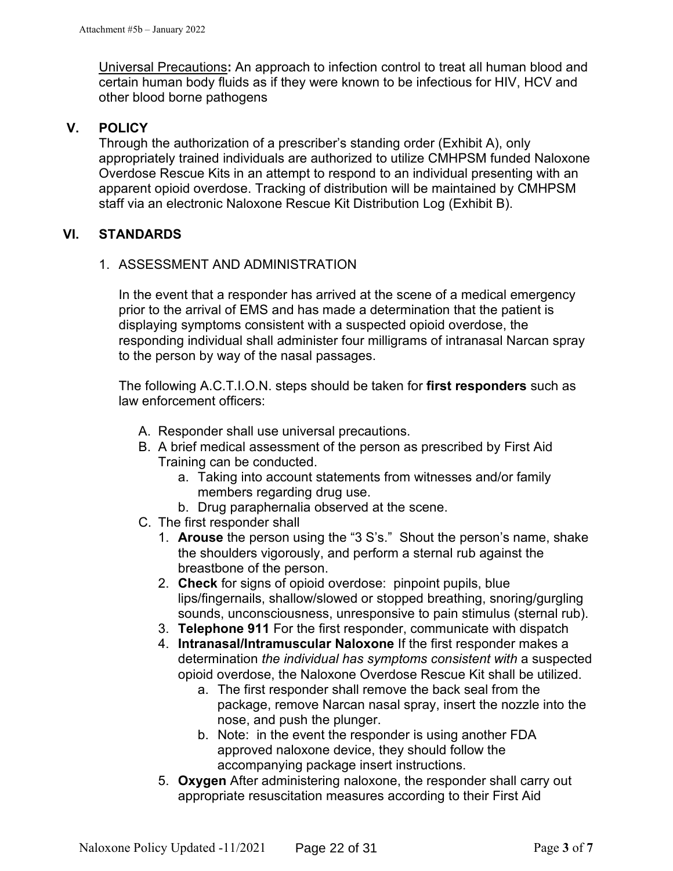Universal Precautions**:** An approach to infection control to treat all human blood and certain human body fluids as if they were known to be infectious for HIV, HCV and other blood borne pathogens

## **V. POLICY**

Through the authorization of a prescriber's standing order (Exhibit A), only appropriately trained individuals are authorized to utilize CMHPSM funded Naloxone Overdose Rescue Kits in an attempt to respond to an individual presenting with an apparent opioid overdose. Tracking of distribution will be maintained by CMHPSM staff via an electronic Naloxone Rescue Kit Distribution Log (Exhibit B).

## **VI. STANDARDS**

## 1. ASSESSMENT AND ADMINISTRATION

In the event that a responder has arrived at the scene of a medical emergency prior to the arrival of EMS and has made a determination that the patient is displaying symptoms consistent with a suspected opioid overdose, the responding individual shall administer four milligrams of intranasal Narcan spray to the person by way of the nasal passages.

The following A.C.T.I.O.N. steps should be taken for **first responders** such as law enforcement officers:

- A. Responder shall use universal precautions.
- B. A brief medical assessment of the person as prescribed by First Aid Training can be conducted.
	- a. Taking into account statements from witnesses and/or family members regarding drug use.
	- b. Drug paraphernalia observed at the scene.
- C. The first responder shall
	- 1. **Arouse** the person using the "3 S's." Shout the person's name, shake the shoulders vigorously, and perform a sternal rub against the breastbone of the person.
	- 2. **Check** for signs of opioid overdose: pinpoint pupils, blue lips/fingernails, shallow/slowed or stopped breathing, snoring/gurgling sounds, unconsciousness, unresponsive to pain stimulus (sternal rub).
	- 3. **Telephone 911** For the first responder, communicate with dispatch
	- 4. **Intranasal/Intramuscular Naloxone** If the first responder makes a determination *the individual has symptoms consistent with* a suspected opioid overdose, the Naloxone Overdose Rescue Kit shall be utilized.
		- a. The first responder shall remove the back seal from the package, remove Narcan nasal spray, insert the nozzle into the nose, and push the plunger.
		- b. Note: in the event the responder is using another FDA approved naloxone device, they should follow the accompanying package insert instructions.
	- 5. **Oxygen** After administering naloxone, the responder shall carry out appropriate resuscitation measures according to their First Aid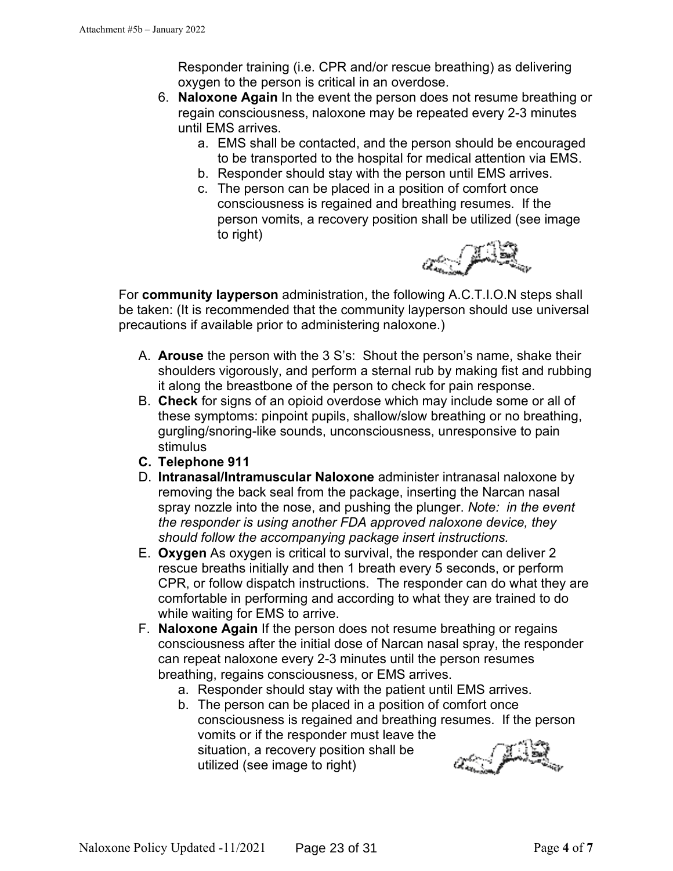Responder training (i.e. CPR and/or rescue breathing) as delivering oxygen to the person is critical in an overdose.

- 6. **Naloxone Again** In the event the person does not resume breathing or regain consciousness, naloxone may be repeated every 2-3 minutes until EMS arrives.
	- a. EMS shall be contacted, and the person should be encouraged to be transported to the hospital for medical attention via EMS.
	- b. Responder should stay with the person until EMS arrives.
	- c. The person can be placed in a position of comfort once consciousness is regained and breathing resumes. If the person vomits, a recovery position shall be utilized (see image to right)



For **community layperson** administration, the following A.C.T.I.O.N steps shall be taken: (It is recommended that the community layperson should use universal precautions if available prior to administering naloxone.)

- A. **Arouse** the person with the 3 S's: Shout the person's name, shake their shoulders vigorously, and perform a sternal rub by making fist and rubbing it along the breastbone of the person to check for pain response.
- B. **Check** for signs of an opioid overdose which may include some or all of these symptoms: pinpoint pupils, shallow/slow breathing or no breathing, gurgling/snoring-like sounds, unconsciousness, unresponsive to pain stimulus
- **C. Telephone 911**
- D. **Intranasal/Intramuscular Naloxone** administer intranasal naloxone by removing the back seal from the package, inserting the Narcan nasal spray nozzle into the nose, and pushing the plunger. *Note: in the event the responder is using another FDA approved naloxone device, they should follow the accompanying package insert instructions.*
- E. **Oxygen** As oxygen is critical to survival, the responder can deliver 2 rescue breaths initially and then 1 breath every 5 seconds, or perform CPR, or follow dispatch instructions. The responder can do what they are comfortable in performing and according to what they are trained to do while waiting for EMS to arrive.
- F. **Naloxone Again** If the person does not resume breathing or regains consciousness after the initial dose of Narcan nasal spray, the responder can repeat naloxone every 2-3 minutes until the person resumes breathing, regains consciousness, or EMS arrives.
	- a. Responder should stay with the patient until EMS arrives.
	- b. The person can be placed in a position of comfort once consciousness is regained and breathing resumes. If the person vomits or if the responder must leave the an Juri situation, a recovery position shall be utilized (see image to right)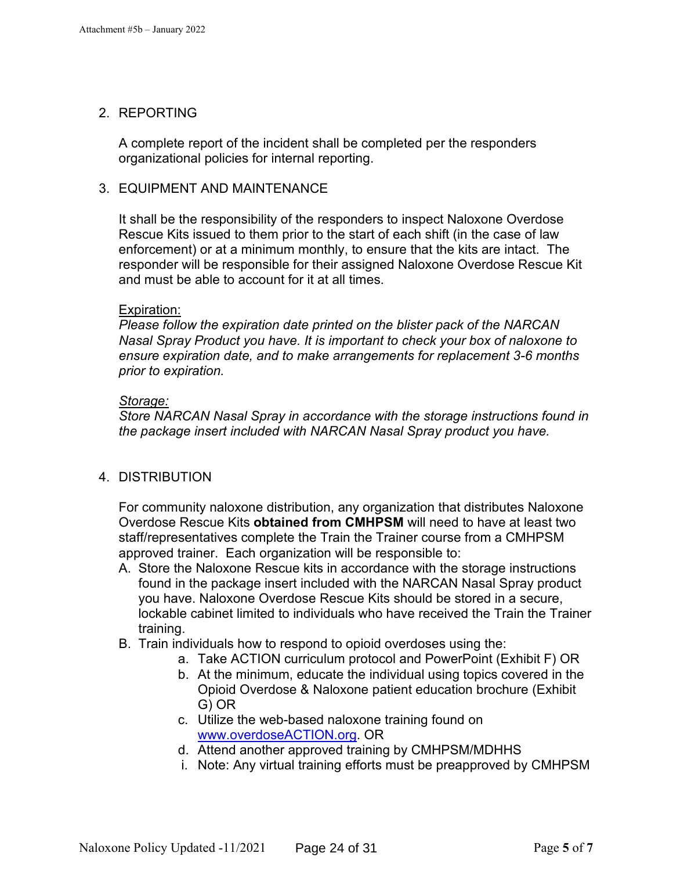## 2. REPORTING

A complete report of the incident shall be completed per the responders organizational policies for internal reporting.

## 3. EQUIPMENT AND MAINTENANCE

It shall be the responsibility of the responders to inspect Naloxone Overdose Rescue Kits issued to them prior to the start of each shift (in the case of law enforcement) or at a minimum monthly, to ensure that the kits are intact. The responder will be responsible for their assigned Naloxone Overdose Rescue Kit and must be able to account for it at all times.

## Expiration:

*Please follow the expiration date printed on the blister pack of the NARCAN Nasal Spray Product you have. It is important to check your box of naloxone to ensure expiration date, and to make arrangements for replacement 3-6 months prior to expiration.* 

## *Storage:*

*Store NARCAN Nasal Spray in accordance with the storage instructions found in the package insert included with NARCAN Nasal Spray product you have.* 

## 4. DISTRIBUTION

For community naloxone distribution, any organization that distributes Naloxone Overdose Rescue Kits **obtained from CMHPSM** will need to have at least two staff/representatives complete the Train the Trainer course from a CMHPSM approved trainer. Each organization will be responsible to:

- A. Store the Naloxone Rescue kits in accordance with the storage instructions found in the package insert included with the NARCAN Nasal Spray product you have. Naloxone Overdose Rescue Kits should be stored in a secure, lockable cabinet limited to individuals who have received the Train the Trainer training.
- B. Train individuals how to respond to opioid overdoses using the:
	- a. Take ACTION curriculum protocol and PowerPoint (Exhibit F) OR
	- b. At the minimum, educate the individual using topics covered in the Opioid Overdose & Naloxone patient education brochure (Exhibit G) OR
	- c. Utilize the web-based naloxone training found on www.overdoseACTION.org. OR
	- d. Attend another approved training by CMHPSM/MDHHS
	- i. Note: Any virtual training efforts must be preapproved by CMHPSM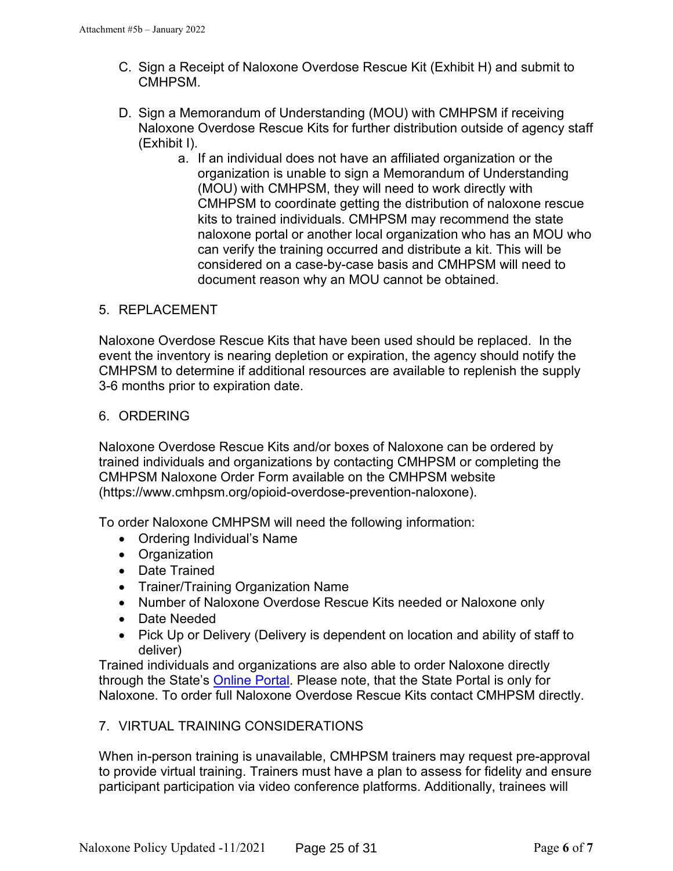- C. Sign a Receipt of Naloxone Overdose Rescue Kit (Exhibit H) and submit to **CMHPSM**
- D. Sign a Memorandum of Understanding (MOU) with CMHPSM if receiving Naloxone Overdose Rescue Kits for further distribution outside of agency staff (Exhibit I).
	- a. If an individual does not have an affiliated organization or the organization is unable to sign a Memorandum of Understanding (MOU) with CMHPSM, they will need to work directly with CMHPSM to coordinate getting the distribution of naloxone rescue kits to trained individuals. CMHPSM may recommend the state naloxone portal or another local organization who has an MOU who can verify the training occurred and distribute a kit. This will be considered on a case-by-case basis and CMHPSM will need to document reason why an MOU cannot be obtained.

## 5. REPLACEMENT

Naloxone Overdose Rescue Kits that have been used should be replaced. In the event the inventory is nearing depletion or expiration, the agency should notify the CMHPSM to determine if additional resources are available to replenish the supply 3-6 months prior to expiration date.

## 6. ORDERING

Naloxone Overdose Rescue Kits and/or boxes of Naloxone can be ordered by trained individuals and organizations by contacting CMHPSM or completing the CMHPSM Naloxone Order Form available on the CMHPSM website (https://www.cmhpsm.org/opioid-overdose-prevention-naloxone).

To order Naloxone CMHPSM will need the following information:

- Ordering Individual's Name
- Organization
- Date Trained
- Trainer/Training Organization Name
- Number of Naloxone Overdose Rescue Kits needed or Naloxone only
- Date Needed
- Pick Up or Delivery (Delivery is dependent on location and ability of staff to deliver)

Trained individuals and organizations are also able to order Naloxone directly through the State's Online Portal. Please note, that the State Portal is only for Naloxone. To order full Naloxone Overdose Rescue Kits contact CMHPSM directly.

## 7. VIRTUAL TRAINING CONSIDERATIONS

When in-person training is unavailable, CMHPSM trainers may request pre-approval to provide virtual training. Trainers must have a plan to assess for fidelity and ensure participant participation via video conference platforms. Additionally, trainees will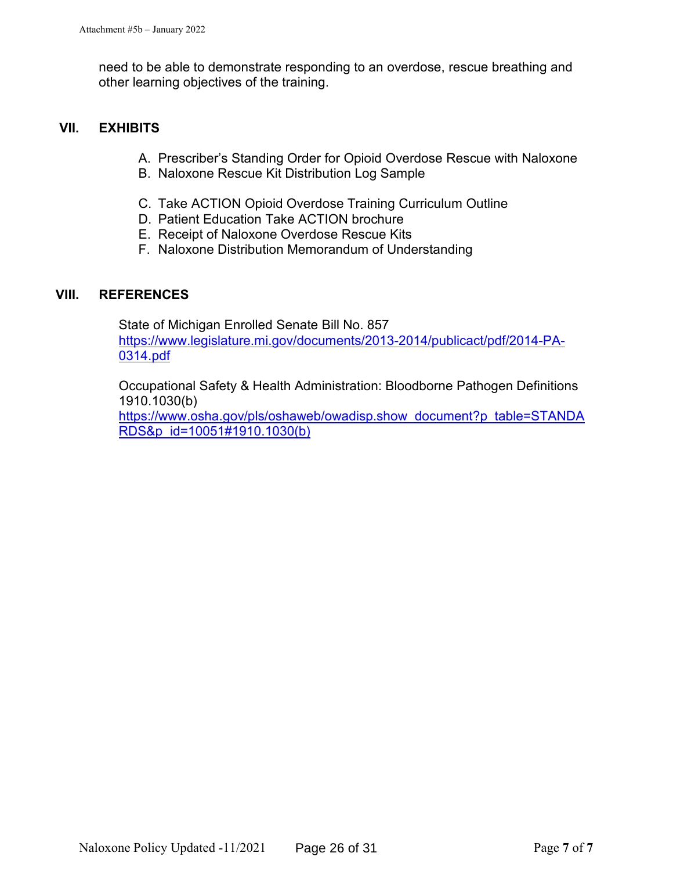need to be able to demonstrate responding to an overdose, rescue breathing and other learning objectives of the training.

## **VII. EXHIBITS**

- A. Prescriber's Standing Order for Opioid Overdose Rescue with Naloxone
- B. Naloxone Rescue Kit Distribution Log Sample
- C. Take ACTION Opioid Overdose Training Curriculum Outline
- D. Patient Education Take ACTION brochure
- E. Receipt of Naloxone Overdose Rescue Kits
- F. Naloxone Distribution Memorandum of Understanding

## **VIII. REFERENCES**

State of Michigan Enrolled Senate Bill No. 857 https://www.legislature.mi.gov/documents/2013-2014/publicact/pdf/2014-PA-0314.pdf

Occupational Safety & Health Administration: Bloodborne Pathogen Definitions 1910.1030(b)

https://www.osha.gov/pls/oshaweb/owadisp.show\_document?p\_table=STANDA RDS&p\_id=10051#1910.1030(b)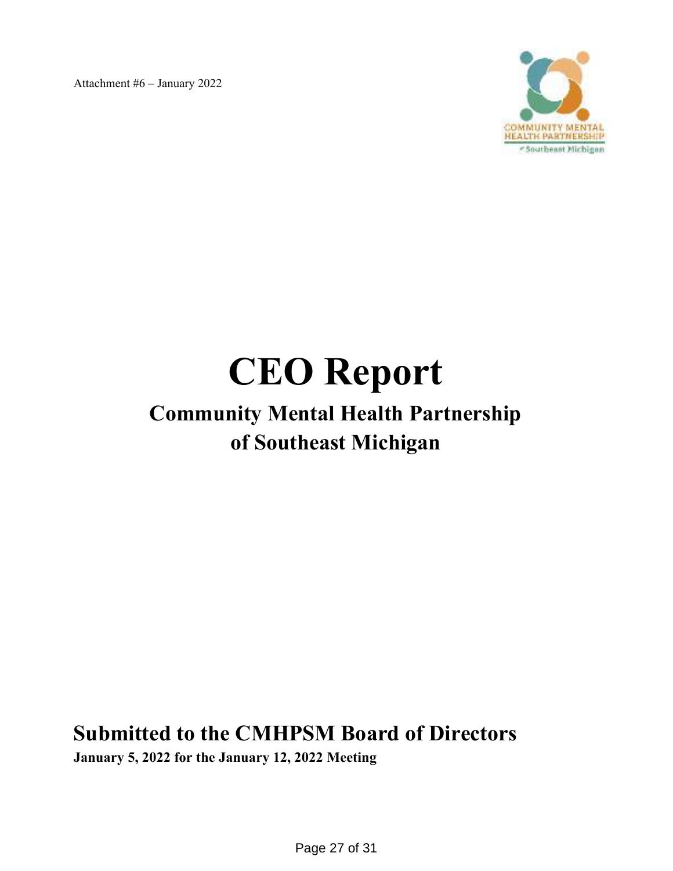

# **CEO Report**

# **Community Mental Health Partnership of Southeast Michigan**

**Submitted to the CMHPSM Board of Directors** 

**January 5, 2022 for the January 12, 2022 Meeting**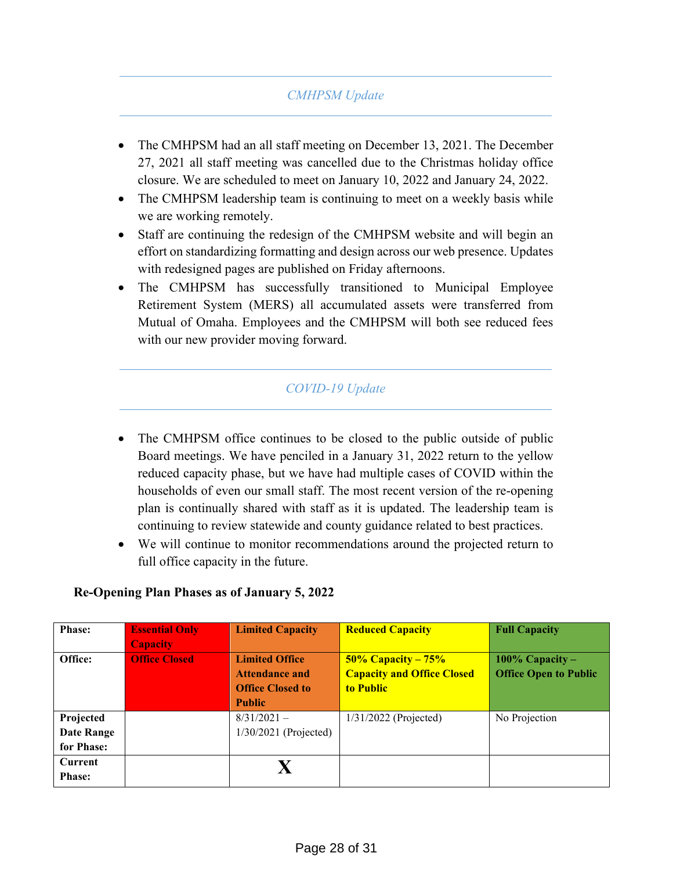## *CMHPSM Update*

- The CMHPSM had an all staff meeting on December 13, 2021. The December 27, 2021 all staff meeting was cancelled due to the Christmas holiday office closure. We are scheduled to meet on January 10, 2022 and January 24, 2022.
- The CMHPSM leadership team is continuing to meet on a weekly basis while we are working remotely.
- Staff are continuing the redesign of the CMHPSM website and will begin an effort on standardizing formatting and design across our web presence. Updates with redesigned pages are published on Friday afternoons.
- The CMHPSM has successfully transitioned to Municipal Employee Retirement System (MERS) all accumulated assets were transferred from Mutual of Omaha. Employees and the CMHPSM will both see reduced fees with our new provider moving forward.

## *COVID-19 Update*

- The CMHPSM office continues to be closed to the public outside of public Board meetings. We have penciled in a January 31, 2022 return to the yellow reduced capacity phase, but we have had multiple cases of COVID within the households of even our small staff. The most recent version of the re-opening plan is continually shared with staff as it is updated. The leadership team is continuing to review statewide and county guidance related to best practices.
- We will continue to monitor recommendations around the projected return to full office capacity in the future.

| <b>Phase:</b>                         | <b>Essential Only</b><br><b>Capacity</b> | <b>Limited Capacity</b>                                                                    | <b>Reduced Capacity</b>                                                    | <b>Full Capacity</b>                              |
|---------------------------------------|------------------------------------------|--------------------------------------------------------------------------------------------|----------------------------------------------------------------------------|---------------------------------------------------|
| Office:                               | <b>Office Closed</b>                     | <b>Limited Office</b><br><b>Attendance and</b><br><b>Office Closed to</b><br><b>Public</b> | $50\%$ Capacity – $75\%$<br><b>Capacity and Office Closed</b><br>to Public | 100% Capacity $-$<br><b>Office Open to Public</b> |
| Projected<br>Date Range<br>for Phase: |                                          | $8/31/2021 -$<br>$1/30/2021$ (Projected)                                                   | $1/31/2022$ (Projected)                                                    | No Projection                                     |
| <b>Current</b><br><b>Phase:</b>       |                                          |                                                                                            |                                                                            |                                                   |

## **Re-Opening Plan Phases as of January 5, 2022**